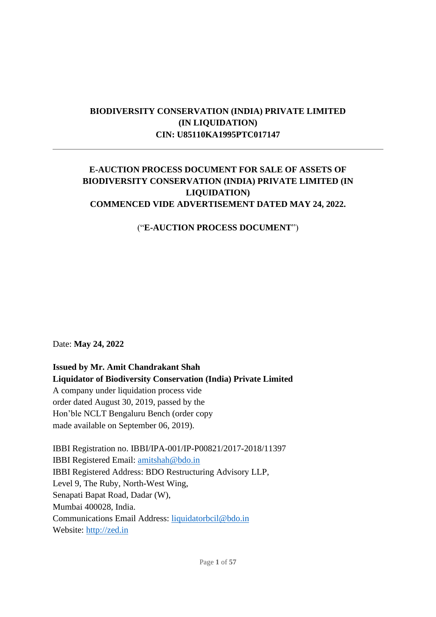# **BIODIVERSITY CONSERVATION (INDIA) PRIVATE LIMITED (IN LIQUIDATION) CIN: U85110KA1995PTC017147**

## **E-AUCTION PROCESS DOCUMENT FOR SALE OF ASSETS OF BIODIVERSITY CONSERVATION (INDIA) PRIVATE LIMITED (IN LIQUIDATION) COMMENCED VIDE ADVERTISEMENT DATED MAY 24, 2022.**

## ("**E-AUCTION PROCESS DOCUMENT**")

Date: **May 24, 2022**

**Issued by Mr. Amit Chandrakant Shah Liquidator of Biodiversity Conservation (India) Private Limited**  A company under liquidation process vide order dated August 30, 2019, passed by the Hon'ble NCLT Bengaluru Bench (order copy made available on September 06, 2019).

IBBI Registration no. IBBI/IPA-001/IP-P00821/2017-2018/11397 IBBI Registered Email: amitshah@bdo.in IBBI Registered Address: BDO Restructuring Advisory LLP, Level 9, The Ruby, North-West Wing, Senapati Bapat Road, Dadar (W), Mumbai 400028, India. Communications Email Address: [liquidatorbcil@bdo.in](mailto:liquidatorbcil@bdo.in) Website: http://zed.in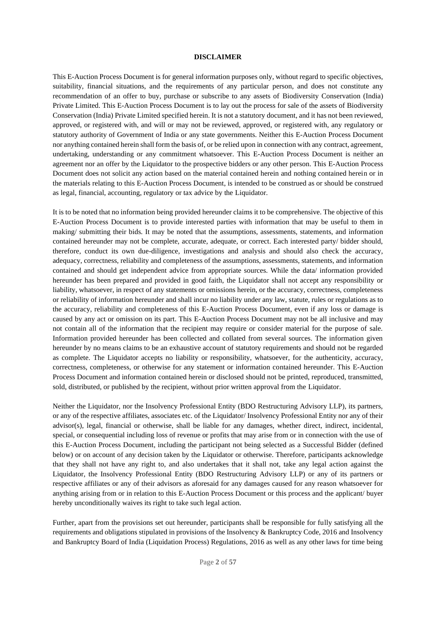#### **DISCLAIMER**

This E-Auction Process Document is for general information purposes only, without regard to specific objectives, suitability, financial situations, and the requirements of any particular person, and does not constitute any recommendation of an offer to buy, purchase or subscribe to any assets of Biodiversity Conservation (India) Private Limited. This E-Auction Process Document is to lay out the process for sale of the assets of Biodiversity Conservation (India) Private Limited specified herein. It is not a statutory document, and it has not been reviewed, approved, or registered with, and will or may not be reviewed, approved, or registered with, any regulatory or statutory authority of Government of India or any state governments. Neither this E-Auction Process Document nor anything contained herein shall form the basis of, or be relied upon in connection with any contract, agreement, undertaking, understanding or any commitment whatsoever. This E-Auction Process Document is neither an agreement nor an offer by the Liquidator to the prospective bidders or any other person. This E-Auction Process Document does not solicit any action based on the material contained herein and nothing contained herein or in the materials relating to this E-Auction Process Document, is intended to be construed as or should be construed as legal, financial, accounting, regulatory or tax advice by the Liquidator.

It is to be noted that no information being provided hereunder claims it to be comprehensive. The objective of this E-Auction Process Document is to provide interested parties with information that may be useful to them in making/ submitting their bids. It may be noted that the assumptions, assessments, statements, and information contained hereunder may not be complete, accurate, adequate, or correct. Each interested party/ bidder should, therefore, conduct its own due-diligence, investigations and analysis and should also check the accuracy, adequacy, correctness, reliability and completeness of the assumptions, assessments, statements, and information contained and should get independent advice from appropriate sources. While the data/ information provided hereunder has been prepared and provided in good faith, the Liquidator shall not accept any responsibility or liability, whatsoever, in respect of any statements or omissions herein, or the accuracy, correctness, completeness or reliability of information hereunder and shall incur no liability under any law, statute, rules or regulations as to the accuracy, reliability and completeness of this E-Auction Process Document, even if any loss or damage is caused by any act or omission on its part. This E-Auction Process Document may not be all inclusive and may not contain all of the information that the recipient may require or consider material for the purpose of sale. Information provided hereunder has been collected and collated from several sources. The information given hereunder by no means claims to be an exhaustive account of statutory requirements and should not be regarded as complete. The Liquidator accepts no liability or responsibility, whatsoever, for the authenticity, accuracy, correctness, completeness, or otherwise for any statement or information contained hereunder. This E-Auction Process Document and information contained herein or disclosed should not be printed, reproduced, transmitted, sold, distributed, or published by the recipient, without prior written approval from the Liquidator.

Neither the Liquidator, nor the Insolvency Professional Entity (BDO Restructuring Advisory LLP), its partners, or any of the respective affiliates, associates etc. of the Liquidator/ Insolvency Professional Entity nor any of their advisor(s), legal, financial or otherwise, shall be liable for any damages, whether direct, indirect, incidental, special, or consequential including loss of revenue or profits that may arise from or in connection with the use of this E-Auction Process Document, including the participant not being selected as a Successful Bidder (defined below) or on account of any decision taken by the Liquidator or otherwise. Therefore, participants acknowledge that they shall not have any right to, and also undertakes that it shall not, take any legal action against the Liquidator, the Insolvency Professional Entity (BDO Restructuring Advisory LLP) or any of its partners or respective affiliates or any of their advisors as aforesaid for any damages caused for any reason whatsoever for anything arising from or in relation to this E-Auction Process Document or this process and the applicant/ buyer hereby unconditionally waives its right to take such legal action.

Further, apart from the provisions set out hereunder, participants shall be responsible for fully satisfying all the requirements and obligations stipulated in provisions of the Insolvency & Bankruptcy Code, 2016 and Insolvency and Bankruptcy Board of India (Liquidation Process) Regulations, 2016 as well as any other laws for time being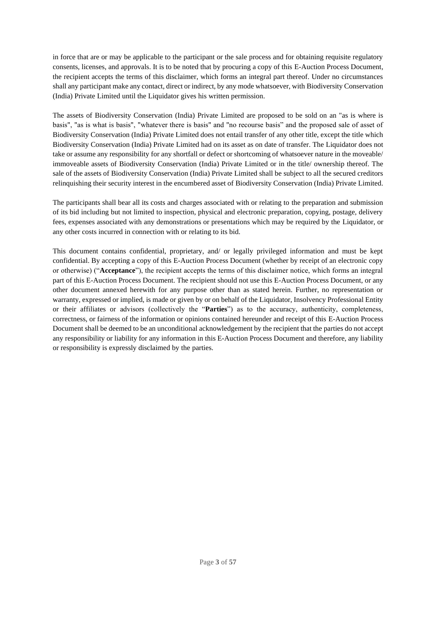in force that are or may be applicable to the participant or the sale process and for obtaining requisite regulatory consents, licenses, and approvals. It is to be noted that by procuring a copy of this E-Auction Process Document, the recipient accepts the terms of this disclaimer, which forms an integral part thereof. Under no circumstances shall any participant make any contact, direct or indirect, by any mode whatsoever, with Biodiversity Conservation (India) Private Limited until the Liquidator gives his written permission.

The assets of Biodiversity Conservation (India) Private Limited are proposed to be sold on an "as is where is basis", "as is what is basis", "whatever there is basis" and "no recourse basis" and the proposed sale of asset of Biodiversity Conservation (India) Private Limited does not entail transfer of any other title, except the title which Biodiversity Conservation (India) Private Limited had on its asset as on date of transfer. The Liquidator does not take or assume any responsibility for any shortfall or defect or shortcoming of whatsoever nature in the moveable/ immoveable assets of Biodiversity Conservation (India) Private Limited or in the title/ ownership thereof. The sale of the assets of Biodiversity Conservation (India) Private Limited shall be subject to all the secured creditors relinquishing their security interest in the encumbered asset of Biodiversity Conservation (India) Private Limited.

The participants shall bear all its costs and charges associated with or relating to the preparation and submission of its bid including but not limited to inspection, physical and electronic preparation, copying, postage, delivery fees, expenses associated with any demonstrations or presentations which may be required by the Liquidator, or any other costs incurred in connection with or relating to its bid.

This document contains confidential, proprietary, and/ or legally privileged information and must be kept confidential. By accepting a copy of this E-Auction Process Document (whether by receipt of an electronic copy or otherwise) ("**Acceptance**"), the recipient accepts the terms of this disclaimer notice, which forms an integral part of this E-Auction Process Document. The recipient should not use this E-Auction Process Document, or any other document annexed herewith for any purpose other than as stated herein. Further, no representation or warranty, expressed or implied, is made or given by or on behalf of the Liquidator, Insolvency Professional Entity or their affiliates or advisors (collectively the "**Parties**") as to the accuracy, authenticity, completeness, correctness, or fairness of the information or opinions contained hereunder and receipt of this E-Auction Process Document shall be deemed to be an unconditional acknowledgement by the recipient that the parties do not accept any responsibility or liability for any information in this E-Auction Process Document and therefore, any liability or responsibility is expressly disclaimed by the parties.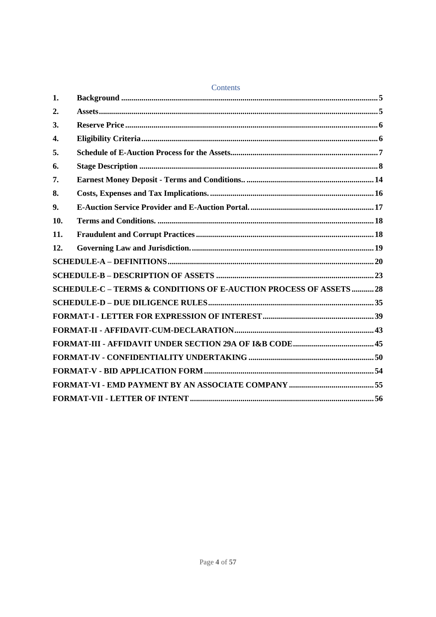|     | Contents                                                         |  |  |
|-----|------------------------------------------------------------------|--|--|
| 1.  |                                                                  |  |  |
| 2.  |                                                                  |  |  |
| 3.  |                                                                  |  |  |
| 4.  |                                                                  |  |  |
| 5.  |                                                                  |  |  |
| 6.  |                                                                  |  |  |
| 7.  |                                                                  |  |  |
| 8.  |                                                                  |  |  |
| 9.  |                                                                  |  |  |
| 10. |                                                                  |  |  |
| 11. |                                                                  |  |  |
| 12. |                                                                  |  |  |
|     |                                                                  |  |  |
|     |                                                                  |  |  |
|     | SCHEDULE-C - TERMS & CONDITIONS OF E-AUCTION PROCESS OF ASSETS28 |  |  |
|     |                                                                  |  |  |
|     |                                                                  |  |  |
|     |                                                                  |  |  |
|     |                                                                  |  |  |
|     |                                                                  |  |  |
|     |                                                                  |  |  |
|     |                                                                  |  |  |
|     |                                                                  |  |  |

# Contents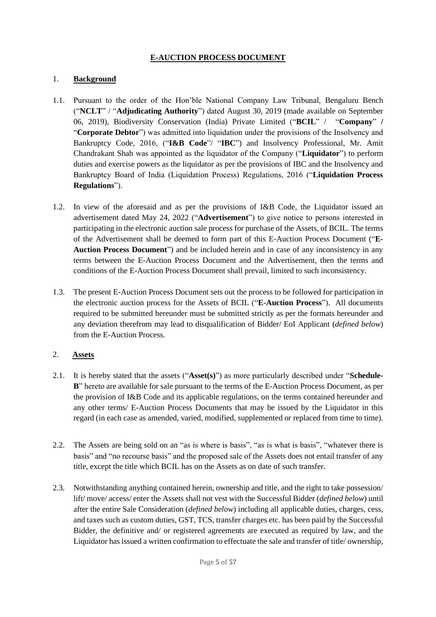### **E-AUCTION PROCESS DOCUMENT**

#### <span id="page-4-0"></span>1. **Background**

- 1.1. Pursuant to the order of the Hon'ble National Company Law Tribunal, Bengaluru Bench ("**NCLT**" / "**Adjudicating Authority**") dated August 30, 2019 (made available on September 06, 2019), Biodiversity Conservation (India) Private Limited ("**BCIL**" / "**Company**" **/**  "**Corporate Debtor**") was admitted into liquidation under the provisions of the Insolvency and Bankruptcy Code, 2016, ("**I&B Code**"/ "**IBC**") and Insolvency Professional, Mr. Amit Chandrakant Shah was appointed as the liquidator of the Company ("**Liquidator**") to perform duties and exercise powers as the liquidator as per the provisions of IBC and the Insolvency and Bankruptcy Board of India (Liquidation Process) Regulations, 2016 ("**Liquidation Process Regulations**").
- 1.2. In view of the aforesaid and as per the provisions of I&B Code, the Liquidator issued an advertisement dated May 24, 2022 ("**Advertisement**") to give notice to persons interested in participating in the electronic auction sale process for purchase of the Assets, of BCIL. The terms of the Advertisement shall be deemed to form part of this E-Auction Process Document ("**E-Auction Process Document**") and be included herein and in case of any inconsistency in any terms between the E-Auction Process Document and the Advertisement, then the terms and conditions of the E-Auction Process Document shall prevail, limited to such inconsistency.
- 1.3. The present E-Auction Process Document sets out the process to be followed for participation in the electronic auction process for the Assets of BCIL ("**E-Auction Process**"). All documents required to be submitted hereunder must be submitted strictly as per the formats hereunder and any deviation therefrom may lead to disqualification of Bidder/ EoI Applicant (*defined below*) from the E-Auction Process.

## <span id="page-4-1"></span>2. **Assets**

- 2.1. It is hereby stated that the assets ("**Asset(s)**") as more particularly described under "**Schedule-B**" hereto are available for sale pursuant to the terms of the E-Auction Process Document, as per the provision of I&B Code and its applicable regulations, on the terms contained hereunder and any other terms/ E-Auction Process Documents that may be issued by the Liquidator in this regard (in each case as amended, varied, modified, supplemented or replaced from time to time).
- 2.2. The Assets are being sold on an "as is where is basis", "as is what is basis", "whatever there is basis" and "no recourse basis" and the proposed sale of the Assets does not entail transfer of any title, except the title which BCIL has on the Assets as on date of such transfer.
- 2.3. Notwithstanding anything contained herein, ownership and title, and the right to take possession/ lift/ move/ access/ enter the Assets shall not vest with the Successful Bidder (*defined below*) until after the entire Sale Consideration (*defined below*) including all applicable duties, charges, cess, and taxes such as custom duties, GST, TCS, transfer charges etc. has been paid by the Successful Bidder, the definitive and/ or registered agreements are executed as required by law, and the Liquidator has issued a written confirmation to effectuate the sale and transfer of title/ ownership,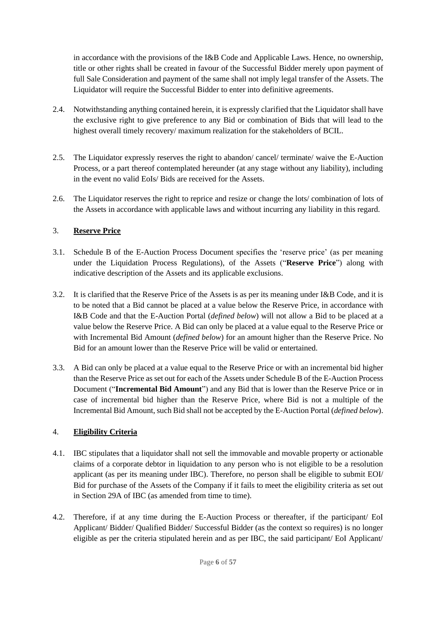in accordance with the provisions of the I&B Code and Applicable Laws. Hence, no ownership, title or other rights shall be created in favour of the Successful Bidder merely upon payment of full Sale Consideration and payment of the same shall not imply legal transfer of the Assets. The Liquidator will require the Successful Bidder to enter into definitive agreements.

- 2.4. Notwithstanding anything contained herein, it is expressly clarified that the Liquidator shall have the exclusive right to give preference to any Bid or combination of Bids that will lead to the highest overall timely recovery/ maximum realization for the stakeholders of BCIL.
- 2.5. The Liquidator expressly reserves the right to abandon/ cancel/ terminate/ waive the E-Auction Process, or a part thereof contemplated hereunder (at any stage without any liability), including in the event no valid EoIs/ Bids are received for the Assets.
- 2.6. The Liquidator reserves the right to reprice and resize or change the lots/ combination of lots of the Assets in accordance with applicable laws and without incurring any liability in this regard.

## <span id="page-5-0"></span>3. **Reserve Price**

- 3.1. Schedule B of the E-Auction Process Document specifies the 'reserve price' (as per meaning under the Liquidation Process Regulations), of the Assets ("**Reserve Price**") along with indicative description of the Assets and its applicable exclusions.
- 3.2. It is clarified that the Reserve Price of the Assets is as per its meaning under I&B Code, and it is to be noted that a Bid cannot be placed at a value below the Reserve Price, in accordance with I&B Code and that the E-Auction Portal (*defined below*) will not allow a Bid to be placed at a value below the Reserve Price. A Bid can only be placed at a value equal to the Reserve Price or with Incremental Bid Amount (*defined below*) for an amount higher than the Reserve Price. No Bid for an amount lower than the Reserve Price will be valid or entertained.
- 3.3. A Bid can only be placed at a value equal to the Reserve Price or with an incremental bid higher than the Reserve Price as set out for each of the Assets under Schedule B of the E-Auction Process Document ("**Incremental Bid Amount**") and any Bid that is lower than the Reserve Price or in case of incremental bid higher than the Reserve Price, where Bid is not a multiple of the Incremental Bid Amount, such Bid shall not be accepted by the E-Auction Portal (*defined below*).

## <span id="page-5-1"></span>4. **Eligibility Criteria**

- 4.1. IBC stipulates that a liquidator shall not sell the immovable and movable property or actionable claims of a corporate debtor in liquidation to any person who is not eligible to be a resolution applicant (as per its meaning under IBC). Therefore, no person shall be eligible to submit EOI/ Bid for purchase of the Assets of the Company if it fails to meet the eligibility criteria as set out in Section 29A of IBC (as amended from time to time).
- 4.2. Therefore, if at any time during the E-Auction Process or thereafter, if the participant/ EoI Applicant/ Bidder/ Qualified Bidder/ Successful Bidder (as the context so requires) is no longer eligible as per the criteria stipulated herein and as per IBC, the said participant/ EoI Applicant/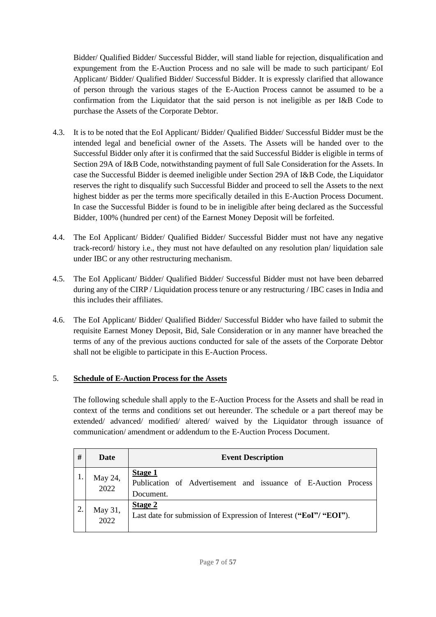Bidder/ Qualified Bidder/ Successful Bidder, will stand liable for rejection, disqualification and expungement from the E-Auction Process and no sale will be made to such participant/ EoI Applicant/ Bidder/ Qualified Bidder/ Successful Bidder. It is expressly clarified that allowance of person through the various stages of the E-Auction Process cannot be assumed to be a confirmation from the Liquidator that the said person is not ineligible as per I&B Code to purchase the Assets of the Corporate Debtor.

- 4.3. It is to be noted that the EoI Applicant/ Bidder/ Qualified Bidder/ Successful Bidder must be the intended legal and beneficial owner of the Assets. The Assets will be handed over to the Successful Bidder only after it is confirmed that the said Successful Bidder is eligible in terms of Section 29A of I&B Code, notwithstanding payment of full Sale Consideration for the Assets. In case the Successful Bidder is deemed ineligible under Section 29A of I&B Code, the Liquidator reserves the right to disqualify such Successful Bidder and proceed to sell the Assets to the next highest bidder as per the terms more specifically detailed in this E-Auction Process Document. In case the Successful Bidder is found to be in ineligible after being declared as the Successful Bidder, 100% (hundred per cent) of the Earnest Money Deposit will be forfeited.
- 4.4. The EoI Applicant/ Bidder/ Qualified Bidder/ Successful Bidder must not have any negative track-record/ history i.e., they must not have defaulted on any resolution plan/ liquidation sale under IBC or any other restructuring mechanism.
- 4.5. The EoI Applicant/ Bidder/ Qualified Bidder/ Successful Bidder must not have been debarred during any of the CIRP / Liquidation process tenure or any restructuring / IBC cases in India and this includes their affiliates.
- 4.6. The EoI Applicant/ Bidder/ Qualified Bidder/ Successful Bidder who have failed to submit the requisite Earnest Money Deposit, Bid, Sale Consideration or in any manner have breached the terms of any of the previous auctions conducted for sale of the assets of the Corporate Debtor shall not be eligible to participate in this E-Auction Process.

## <span id="page-6-0"></span>5. **Schedule of E-Auction Process for the Assets**

The following schedule shall apply to the E-Auction Process for the Assets and shall be read in context of the terms and conditions set out hereunder. The schedule or a part thereof may be extended/ advanced/ modified/ altered/ waived by the Liquidator through issuance of communication/ amendment or addendum to the E-Auction Process Document.

| #  | Date            | <b>Event Description</b>                                                                      |
|----|-----------------|-----------------------------------------------------------------------------------------------|
|    | May 24,<br>2022 | <b>Stage 1</b><br>Publication of Advertisement and issuance of E-Auction Process<br>Document. |
| 2. | May 31,<br>2022 | Stage 2<br>Last date for submission of Expression of Interest ("EoI"/ "EOI").                 |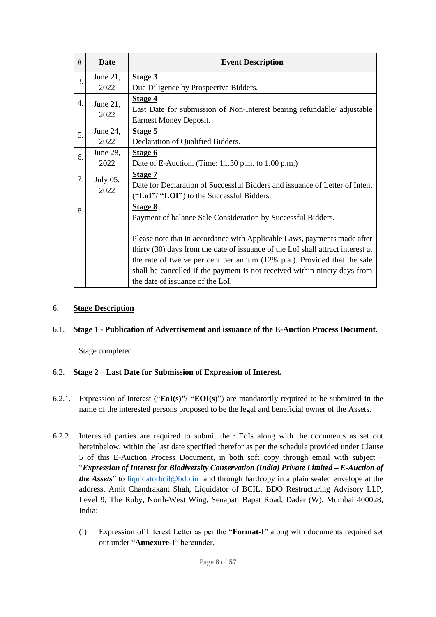| #  | <b>Date</b> | <b>Event Description</b>                                                             |
|----|-------------|--------------------------------------------------------------------------------------|
| 3. | June 21,    | Stage 3                                                                              |
|    | 2022        | Due Diligence by Prospective Bidders.                                                |
| 4. | June 21,    | Stage 4                                                                              |
|    | 2022        | Last Date for submission of Non-Interest bearing refundable/ adjustable              |
|    |             | <b>Earnest Money Deposit.</b>                                                        |
| 5. | June 24,    | Stage 5                                                                              |
|    | 2022        | Declaration of Qualified Bidders.                                                    |
| 6. | June 28,    | Stage 6                                                                              |
|    | 2022        | Date of E-Auction. (Time: 11.30 p.m. to 1.00 p.m.)                                   |
| 7. | July 05,    | <b>Stage 7</b>                                                                       |
|    | 2022        | Date for Declaration of Successful Bidders and issuance of Letter of Intent          |
|    |             | ("LoI"/ "LOI") to the Successful Bidders.                                            |
| 8. |             | <b>Stage 8</b>                                                                       |
|    |             | Payment of balance Sale Consideration by Successful Bidders.                         |
|    |             |                                                                                      |
|    |             | Please note that in accordance with Applicable Laws, payments made after             |
|    |             | thirty (30) days from the date of issuance of the LoI shall attract interest at      |
|    |             | the rate of twelve per cent per annum $(12\% \text{ p.a.})$ . Provided that the sale |
|    |             | shall be cancelled if the payment is not received within ninety days from            |
|    |             | the date of issuance of the LoI.                                                     |

### <span id="page-7-0"></span>6. **Stage Description**

#### 6.1. **Stage 1 - Publication of Advertisement and issuance of the E-Auction Process Document.**

Stage completed.

#### 6.2. **Stage 2 – Last Date for Submission of Expression of Interest.**

- 6.2.1. Expression of Interest ("**EoI(s)"/ "EOI(s)**") are mandatorily required to be submitted in the name of the interested persons proposed to be the legal and beneficial owner of the Assets.
- 6.2.2. Interested parties are required to submit their EoIs along with the documents as set out hereinbelow, within the last date specified therefor as per the schedule provided under Clause 5 of this E-Auction Process Document, in both soft copy through email with subject – "*Expression of Interest for Biodiversity Conservation (India) Private Limited – E-Auction of the Assets*" to [liquidatorbcil@bdo.in](mailto:Liquidatorbcil@bdo.in) and through hardcopy in a plain sealed envelope at the address, Amit Chandrakant Shah, Liquidator of BCIL, BDO Restructuring Advisory LLP, Level 9, The Ruby, North-West Wing, Senapati Bapat Road, Dadar (W), Mumbai 400028, India:
	- (i) Expression of Interest Letter as per the "**Format-I**" along with documents required set out under "**Annexure-I**" hereunder,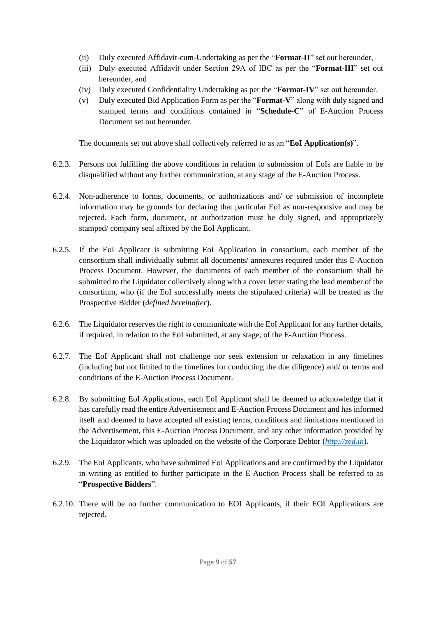- (ii) Duly executed Affidavit-cum-Undertaking as per the "**Format-II**" set out hereunder,
- (iii) Duly executed Affidavit under Section 29A of IBC as per the "**Format-III**" set out hereunder, and
- (iv) Duly executed Confidentiality Undertaking as per the "**Format-IV**" set out hereunder.
- (v) Duly executed Bid Application Form as per the "**Format-V**" along with duly signed and stamped terms and conditions contained in "**Schedule-C**" of E-Auction Process Document set out hereunder.

The documents set out above shall collectively referred to as an "**EoI Application(s)**".

- 6.2.3. Persons not fulfilling the above conditions in relation to submission of EoIs are liable to be disqualified without any further communication, at any stage of the E-Auction Process.
- 6.2.4. Non-adherence to forms, documents, or authorizations and/ or submission of incomplete information may be grounds for declaring that particular EoI as non-responsive and may be rejected. Each form, document, or authorization must be duly signed, and appropriately stamped/ company seal affixed by the EoI Applicant.
- 6.2.5. If the EoI Applicant is submitting EoI Application in consortium, each member of the consortium shall individually submit all documents/ annexures required under this E-Auction Process Document. However, the documents of each member of the consortium shall be submitted to the Liquidator collectively along with a cover letter stating the lead member of the consortium, who (if the EoI successfully meets the stipulated criteria) will be treated as the Prospective Bidder (*defined hereinafter*).
- 6.2.6. The Liquidator reserves the right to communicate with the EoI Applicant for any further details, if required, in relation to the EoI submitted, at any stage, of the E-Auction Process.
- 6.2.7. The EoI Applicant shall not challenge nor seek extension or relaxation in any timelines (including but not limited to the timelines for conducting the due diligence) and/ or terms and conditions of the E-Auction Process Document.
- 6.2.8. By submitting EoI Applications, each EoI Applicant shall be deemed to acknowledge that it has carefully read the entire Advertisement and E-Auction Process Document and has informed itself and deemed to have accepted all existing terms, conditions and limitations mentioned in the Advertisement, this E-Auction Process Document, and any other information provided by the Liquidator which was uploaded on the website of the Corporate Debtor (*[http://zed.in](http://zed.in/)*).
- 6.2.9. The EoI Applicants, who have submitted EoI Applications and are confirmed by the Liquidator in writing as entitled to further participate in the E-Auction Process shall be referred to as "**Prospective Bidders**".
- 6.2.10. There will be no further communication to EOI Applicants, if their EOI Applications are rejected.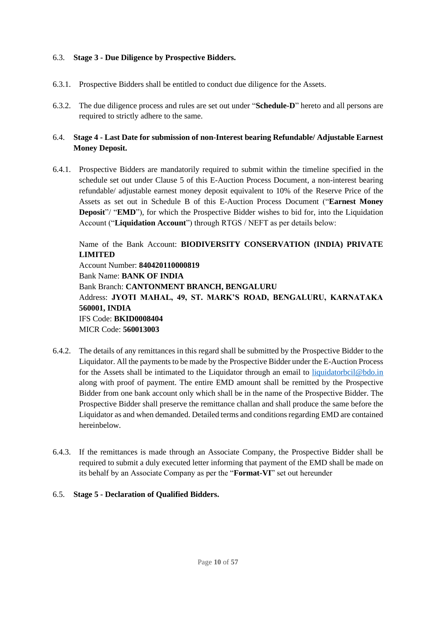### 6.3. **Stage 3 - Due Diligence by Prospective Bidders.**

- 6.3.1. Prospective Bidders shall be entitled to conduct due diligence for the Assets.
- 6.3.2. The due diligence process and rules are set out under "**Schedule-D**" hereto and all persons are required to strictly adhere to the same.

### 6.4. **Stage 4 - Last Date for submission of non-Interest bearing Refundable/ Adjustable Earnest Money Deposit.**

6.4.1. Prospective Bidders are mandatorily required to submit within the timeline specified in the schedule set out under Clause 5 of this E-Auction Process Document, a non-interest bearing refundable/ adjustable earnest money deposit equivalent to 10% of the Reserve Price of the Assets as set out in Schedule B of this E-Auction Process Document ("**Earnest Money Deposit**"/ "**EMD**"), for which the Prospective Bidder wishes to bid for, into the Liquidation Account ("**Liquidation Account**") through RTGS / NEFT as per details below:

Name of the Bank Account: **BIODIVERSITY CONSERVATION (INDIA) PRIVATE LIMITED** Account Number: **840420110000819** Bank Name: **BANK OF INDIA** Bank Branch: **CANTONMENT BRANCH, BENGALURU** Address: **JYOTI MAHAL, 49, ST. MARK'S ROAD, BENGALURU, KARNATAKA 560001, INDIA** IFS Code: **BKID0008404**

MICR Code: **560013003**

- 6.4.2. The details of any remittances in this regard shall be submitted by the Prospective Bidder to the Liquidator. All the payments to be made by the Prospective Bidder under the E-Auction Process for the Assets shall be intimated to the Liquidator through an email to [liquidatorbcil@bdo.in](mailto:Liquidatorbcil@bdo.in) along with proof of payment. The entire EMD amount shall be remitted by the Prospective Bidder from one bank account only which shall be in the name of the Prospective Bidder. The Prospective Bidder shall preserve the remittance challan and shall produce the same before the Liquidator as and when demanded. Detailed terms and conditions regarding EMD are contained hereinbelow.
- 6.4.3. If the remittances is made through an Associate Company, the Prospective Bidder shall be required to submit a duly executed letter informing that payment of the EMD shall be made on its behalf by an Associate Company as per the "**Format-VI**" set out hereunder

#### 6.5. **Stage 5 - Declaration of Qualified Bidders.**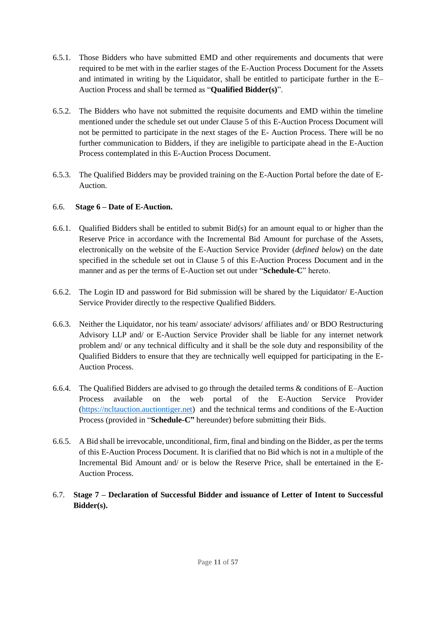- 6.5.1. Those Bidders who have submitted EMD and other requirements and documents that were required to be met with in the earlier stages of the E-Auction Process Document for the Assets and intimated in writing by the Liquidator, shall be entitled to participate further in the E– Auction Process and shall be termed as "**Qualified Bidder(s)**".
- 6.5.2. The Bidders who have not submitted the requisite documents and EMD within the timeline mentioned under the schedule set out under Clause 5 of this E-Auction Process Document will not be permitted to participate in the next stages of the E- Auction Process. There will be no further communication to Bidders, if they are ineligible to participate ahead in the E-Auction Process contemplated in this E-Auction Process Document.
- 6.5.3. The Qualified Bidders may be provided training on the E-Auction Portal before the date of E-Auction.

#### 6.6. **Stage 6 – Date of E-Auction.**

- 6.6.1. Qualified Bidders shall be entitled to submit Bid(s) for an amount equal to or higher than the Reserve Price in accordance with the Incremental Bid Amount for purchase of the Assets, electronically on the website of the E-Auction Service Provider (*defined below*) on the date specified in the schedule set out in Clause 5 of this E-Auction Process Document and in the manner and as per the terms of E-Auction set out under "**Schedule-C**" hereto.
- 6.6.2. The Login ID and password for Bid submission will be shared by the Liquidator/ E-Auction Service Provider directly to the respective Qualified Bidders.
- 6.6.3. Neither the Liquidator, nor his team/ associate/ advisors/ affiliates and/ or BDO Restructuring Advisory LLP and/ or E-Auction Service Provider shall be liable for any internet network problem and/ or any technical difficulty and it shall be the sole duty and responsibility of the Qualified Bidders to ensure that they are technically well equipped for participating in the E-Auction Process.
- 6.6.4. The Qualified Bidders are advised to go through the detailed terms & conditions of E–Auction Process available on the web portal of the E-Auction Service Provider [\(https://ncltauction.auctiontiger.net\)](https://ncltauction.auctiontiger.net/) and the technical terms and conditions of the E-Auction Process (provided in "**Schedule-C"** hereunder) before submitting their Bids.
- 6.6.5. A Bid shall be irrevocable, unconditional, firm, final and binding on the Bidder, as per the terms of this E-Auction Process Document. It is clarified that no Bid which is not in a multiple of the Incremental Bid Amount and/ or is below the Reserve Price, shall be entertained in the E-Auction Process.
- 6.7. **Stage 7 – Declaration of Successful Bidder and issuance of Letter of Intent to Successful Bidder(s).**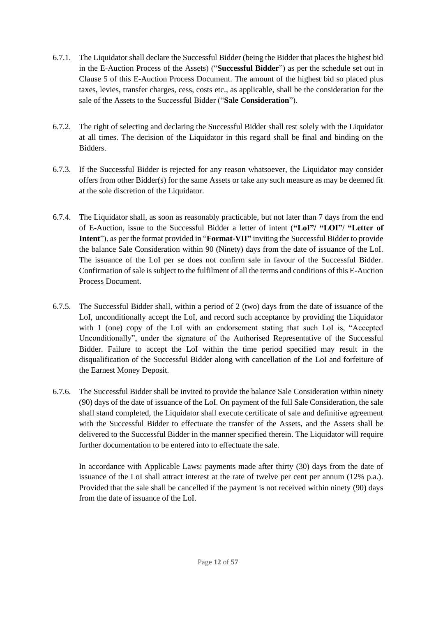- 6.7.1. The Liquidator shall declare the Successful Bidder (being the Bidder that places the highest bid in the E-Auction Process of the Assets) ("**Successful Bidder**") as per the schedule set out in Clause 5 of this E-Auction Process Document. The amount of the highest bid so placed plus taxes, levies, transfer charges, cess, costs etc., as applicable, shall be the consideration for the sale of the Assets to the Successful Bidder ("**Sale Consideration**").
- 6.7.2. The right of selecting and declaring the Successful Bidder shall rest solely with the Liquidator at all times. The decision of the Liquidator in this regard shall be final and binding on the Bidders.
- 6.7.3. If the Successful Bidder is rejected for any reason whatsoever, the Liquidator may consider offers from other Bidder(s) for the same Assets or take any such measure as may be deemed fit at the sole discretion of the Liquidator.
- 6.7.4. The Liquidator shall, as soon as reasonably practicable, but not later than 7 days from the end of E-Auction, issue to the Successful Bidder a letter of intent (**"LoI"/ "LOI"/ "Letter of Intent**"), as per the format provided in "**Format-VII"** inviting the Successful Bidder to provide the balance Sale Consideration within 90 (Ninety) days from the date of issuance of the LoI. The issuance of the LoI per se does not confirm sale in favour of the Successful Bidder. Confirmation of sale is subject to the fulfilment of all the terms and conditions of this E-Auction Process Document.
- 6.7.5. The Successful Bidder shall, within a period of 2 (two) days from the date of issuance of the LoI, unconditionally accept the LoI, and record such acceptance by providing the Liquidator with 1 (one) copy of the LoI with an endorsement stating that such LoI is, "Accepted Unconditionally", under the signature of the Authorised Representative of the Successful Bidder. Failure to accept the LoI within the time period specified may result in the disqualification of the Successful Bidder along with cancellation of the LoI and forfeiture of the Earnest Money Deposit.
- 6.7.6. The Successful Bidder shall be invited to provide the balance Sale Consideration within ninety (90) days of the date of issuance of the LoI. On payment of the full Sale Consideration, the sale shall stand completed, the Liquidator shall execute certificate of sale and definitive agreement with the Successful Bidder to effectuate the transfer of the Assets, and the Assets shall be delivered to the Successful Bidder in the manner specified therein. The Liquidator will require further documentation to be entered into to effectuate the sale.

In accordance with Applicable Laws: payments made after thirty (30) days from the date of issuance of the LoI shall attract interest at the rate of twelve per cent per annum (12% p.a.). Provided that the sale shall be cancelled if the payment is not received within ninety (90) days from the date of issuance of the LoI.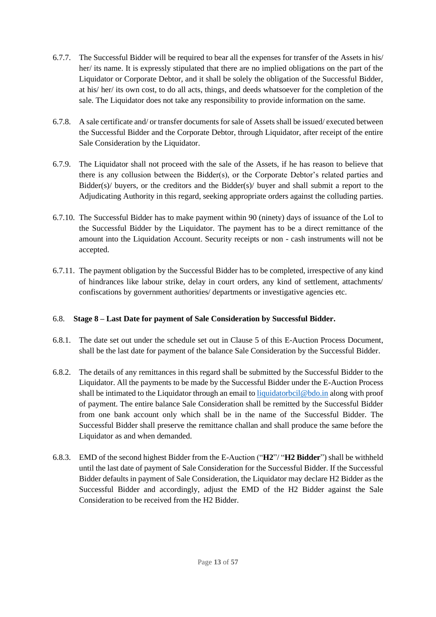- 6.7.7. The Successful Bidder will be required to bear all the expenses for transfer of the Assets in his/ her/ its name. It is expressly stipulated that there are no implied obligations on the part of the Liquidator or Corporate Debtor, and it shall be solely the obligation of the Successful Bidder, at his/ her/ its own cost, to do all acts, things, and deeds whatsoever for the completion of the sale. The Liquidator does not take any responsibility to provide information on the same.
- 6.7.8. A sale certificate and/ or transfer documents for sale of Assets shall be issued/ executed between the Successful Bidder and the Corporate Debtor, through Liquidator, after receipt of the entire Sale Consideration by the Liquidator.
- 6.7.9. The Liquidator shall not proceed with the sale of the Assets, if he has reason to believe that there is any collusion between the Bidder(s), or the Corporate Debtor's related parties and Bidder(s)/ buyers, or the creditors and the Bidder(s)/ buyer and shall submit a report to the Adjudicating Authority in this regard, seeking appropriate orders against the colluding parties.
- 6.7.10. The Successful Bidder has to make payment within 90 (ninety) days of issuance of the LoI to the Successful Bidder by the Liquidator. The payment has to be a direct remittance of the amount into the Liquidation Account. Security receipts or non - cash instruments will not be accepted.
- 6.7.11. The payment obligation by the Successful Bidder has to be completed, irrespective of any kind of hindrances like labour strike, delay in court orders, any kind of settlement, attachments/ confiscations by government authorities/ departments or investigative agencies etc.

## 6.8. **Stage 8 – Last Date for payment of Sale Consideration by Successful Bidder.**

- 6.8.1. The date set out under the schedule set out in Clause 5 of this E-Auction Process Document, shall be the last date for payment of the balance Sale Consideration by the Successful Bidder.
- 6.8.2. The details of any remittances in this regard shall be submitted by the Successful Bidder to the Liquidator. All the payments to be made by the Successful Bidder under the E-Auction Process shall be intimated to the Liquidator through an email to [liquidatorbcil@bdo.in](mailto:Liquidatorbcil@bdo.in) along with proof of payment. The entire balance Sale Consideration shall be remitted by the Successful Bidder from one bank account only which shall be in the name of the Successful Bidder. The Successful Bidder shall preserve the remittance challan and shall produce the same before the Liquidator as and when demanded.
- 6.8.3. EMD of the second highest Bidder from the E-Auction ("**H2**"/ "**H2 Bidder**") shall be withheld until the last date of payment of Sale Consideration for the Successful Bidder. If the Successful Bidder defaults in payment of Sale Consideration, the Liquidator may declare H2 Bidder as the Successful Bidder and accordingly, adjust the EMD of the H2 Bidder against the Sale Consideration to be received from the H2 Bidder.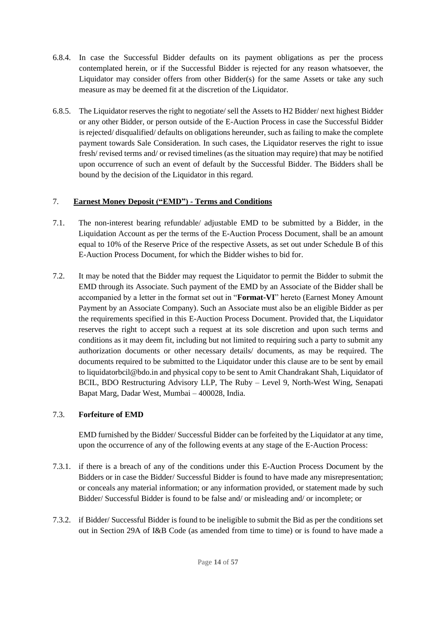- 6.8.4. In case the Successful Bidder defaults on its payment obligations as per the process contemplated herein, or if the Successful Bidder is rejected for any reason whatsoever, the Liquidator may consider offers from other Bidder(s) for the same Assets or take any such measure as may be deemed fit at the discretion of the Liquidator.
- 6.8.5. The Liquidator reserves the right to negotiate/ sell the Assets to H2 Bidder/ next highest Bidder or any other Bidder, or person outside of the E-Auction Process in case the Successful Bidder is rejected/ disqualified/ defaults on obligations hereunder, such as failing to make the complete payment towards Sale Consideration. In such cases, the Liquidator reserves the right to issue fresh/ revised terms and/ or revised timelines (as the situation may require) that may be notified upon occurrence of such an event of default by the Successful Bidder. The Bidders shall be bound by the decision of the Liquidator in this regard.

## <span id="page-13-0"></span>7. **Earnest Money Deposit ("EMD") - Terms and Conditions**

- 7.1. The non-interest bearing refundable/ adjustable EMD to be submitted by a Bidder, in the Liquidation Account as per the terms of the E-Auction Process Document, shall be an amount equal to 10% of the Reserve Price of the respective Assets, as set out under Schedule B of this E-Auction Process Document, for which the Bidder wishes to bid for.
- 7.2. It may be noted that the Bidder may request the Liquidator to permit the Bidder to submit the EMD through its Associate. Such payment of the EMD by an Associate of the Bidder shall be accompanied by a letter in the format set out in "**Format-VI**" hereto (Earnest Money Amount Payment by an Associate Company). Such an Associate must also be an eligible Bidder as per the requirements specified in this E-Auction Process Document. Provided that, the Liquidator reserves the right to accept such a request at its sole discretion and upon such terms and conditions as it may deem fit, including but not limited to requiring such a party to submit any authorization documents or other necessary details/ documents, as may be required. The documents required to be submitted to the Liquidator under this clause are to be sent by email to liquidatorbcil@bdo.in and physical copy to be sent to Amit Chandrakant Shah, Liquidator of BCIL, BDO Restructuring Advisory LLP, The Ruby – Level 9, North-West Wing, Senapati Bapat Marg, Dadar West, Mumbai – 400028, India.

## 7.3. **Forfeiture of EMD**

EMD furnished by the Bidder/ Successful Bidder can be forfeited by the Liquidator at any time, upon the occurrence of any of the following events at any stage of the E-Auction Process:

- 7.3.1. if there is a breach of any of the conditions under this E-Auction Process Document by the Bidders or in case the Bidder/ Successful Bidder is found to have made any misrepresentation; or conceals any material information; or any information provided, or statement made by such Bidder/ Successful Bidder is found to be false and/ or misleading and/ or incomplete; or
- 7.3.2. if Bidder/ Successful Bidder is found to be ineligible to submit the Bid as per the conditions set out in Section 29A of I&B Code (as amended from time to time) or is found to have made a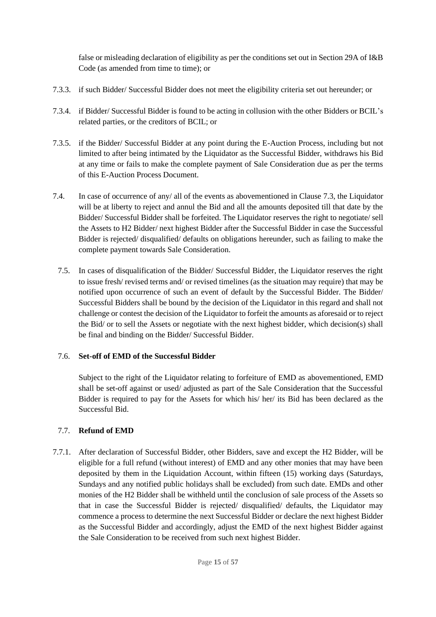false or misleading declaration of eligibility as per the conditions set out in Section 29A of I&B Code (as amended from time to time); or

- 7.3.3. if such Bidder/ Successful Bidder does not meet the eligibility criteria set out hereunder; or
- 7.3.4. if Bidder/ Successful Bidder is found to be acting in collusion with the other Bidders or BCIL's related parties, or the creditors of BCIL; or
- 7.3.5. if the Bidder/ Successful Bidder at any point during the E-Auction Process, including but not limited to after being intimated by the Liquidator as the Successful Bidder, withdraws his Bid at any time or fails to make the complete payment of Sale Consideration due as per the terms of this E-Auction Process Document.
- 7.4. In case of occurrence of any/ all of the events as abovementioned in Clause 7.3, the Liquidator will be at liberty to reject and annul the Bid and all the amounts deposited till that date by the Bidder/ Successful Bidder shall be forfeited. The Liquidator reserves the right to negotiate/ sell the Assets to H2 Bidder/ next highest Bidder after the Successful Bidder in case the Successful Bidder is rejected/ disqualified/ defaults on obligations hereunder, such as failing to make the complete payment towards Sale Consideration.
	- 7.5. In cases of disqualification of the Bidder/ Successful Bidder, the Liquidator reserves the right to issue fresh/ revised terms and/ or revised timelines (as the situation may require) that may be notified upon occurrence of such an event of default by the Successful Bidder. The Bidder/ Successful Bidders shall be bound by the decision of the Liquidator in this regard and shall not challenge or contest the decision of the Liquidator to forfeit the amounts as aforesaid or to reject the Bid/ or to sell the Assets or negotiate with the next highest bidder, which decision(s) shall be final and binding on the Bidder/ Successful Bidder.

## 7.6. **Set-off of EMD of the Successful Bidder**

Subject to the right of the Liquidator relating to forfeiture of EMD as abovementioned, EMD shall be set-off against or used/ adjusted as part of the Sale Consideration that the Successful Bidder is required to pay for the Assets for which his/ her/ its Bid has been declared as the Successful Bid.

#### 7.7. **Refund of EMD**

7.7.1. After declaration of Successful Bidder, other Bidders, save and except the H2 Bidder, will be eligible for a full refund (without interest) of EMD and any other monies that may have been deposited by them in the Liquidation Account, within fifteen (15) working days (Saturdays, Sundays and any notified public holidays shall be excluded) from such date. EMDs and other monies of the H2 Bidder shall be withheld until the conclusion of sale process of the Assets so that in case the Successful Bidder is rejected/ disqualified/ defaults, the Liquidator may commence a process to determine the next Successful Bidder or declare the next highest Bidder as the Successful Bidder and accordingly, adjust the EMD of the next highest Bidder against the Sale Consideration to be received from such next highest Bidder.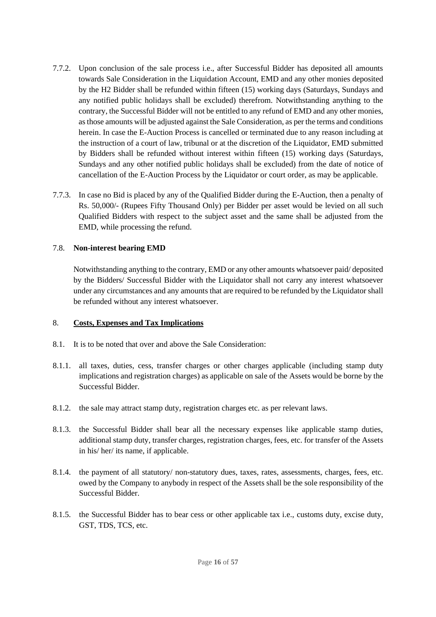- 7.7.2. Upon conclusion of the sale process i.e., after Successful Bidder has deposited all amounts towards Sale Consideration in the Liquidation Account, EMD and any other monies deposited by the H2 Bidder shall be refunded within fifteen (15) working days (Saturdays, Sundays and any notified public holidays shall be excluded) therefrom. Notwithstanding anything to the contrary, the Successful Bidder will not be entitled to any refund of EMD and any other monies, as those amounts will be adjusted against the Sale Consideration, as per the terms and conditions herein. In case the E-Auction Process is cancelled or terminated due to any reason including at the instruction of a court of law, tribunal or at the discretion of the Liquidator, EMD submitted by Bidders shall be refunded without interest within fifteen (15) working days (Saturdays, Sundays and any other notified public holidays shall be excluded) from the date of notice of cancellation of the E-Auction Process by the Liquidator or court order, as may be applicable.
- 7.7.3. In case no Bid is placed by any of the Qualified Bidder during the E-Auction, then a penalty of Rs. 50,000/- (Rupees Fifty Thousand Only) per Bidder per asset would be levied on all such Qualified Bidders with respect to the subject asset and the same shall be adjusted from the EMD, while processing the refund.

#### 7.8. **Non-interest bearing EMD**

Notwithstanding anything to the contrary, EMD or any other amounts whatsoever paid/ deposited by the Bidders/ Successful Bidder with the Liquidator shall not carry any interest whatsoever under any circumstances and any amounts that are required to be refunded by the Liquidator shall be refunded without any interest whatsoever.

#### <span id="page-15-0"></span>8. **Costs, Expenses and Tax Implications**

- 8.1. It is to be noted that over and above the Sale Consideration:
- 8.1.1. all taxes, duties, cess, transfer charges or other charges applicable (including stamp duty implications and registration charges) as applicable on sale of the Assets would be borne by the Successful Bidder.
- 8.1.2. the sale may attract stamp duty, registration charges etc. as per relevant laws.
- 8.1.3. the Successful Bidder shall bear all the necessary expenses like applicable stamp duties, additional stamp duty, transfer charges, registration charges, fees, etc. for transfer of the Assets in his/ her/ its name, if applicable.
- 8.1.4. the payment of all statutory/ non-statutory dues, taxes, rates, assessments, charges, fees, etc. owed by the Company to anybody in respect of the Assets shall be the sole responsibility of the Successful Bidder.
- 8.1.5. the Successful Bidder has to bear cess or other applicable tax i.e., customs duty, excise duty, GST, TDS, TCS, etc.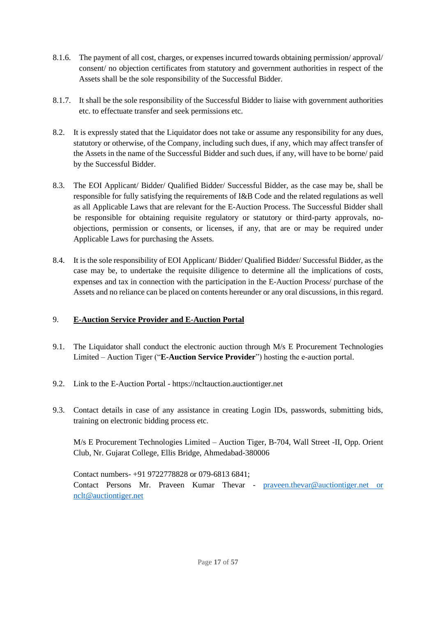- 8.1.6. The payment of all cost, charges, or expenses incurred towards obtaining permission/ approval/ consent/ no objection certificates from statutory and government authorities in respect of the Assets shall be the sole responsibility of the Successful Bidder.
- 8.1.7. It shall be the sole responsibility of the Successful Bidder to liaise with government authorities etc. to effectuate transfer and seek permissions etc.
- 8.2. It is expressly stated that the Liquidator does not take or assume any responsibility for any dues, statutory or otherwise, of the Company, including such dues, if any, which may affect transfer of the Assets in the name of the Successful Bidder and such dues, if any, will have to be borne/ paid by the Successful Bidder.
- 8.3. The EOI Applicant/ Bidder/ Qualified Bidder/ Successful Bidder, as the case may be, shall be responsible for fully satisfying the requirements of I&B Code and the related regulations as well as all Applicable Laws that are relevant for the E-Auction Process. The Successful Bidder shall be responsible for obtaining requisite regulatory or statutory or third-party approvals, noobjections, permission or consents, or licenses, if any, that are or may be required under Applicable Laws for purchasing the Assets.
- 8.4. It is the sole responsibility of EOI Applicant/ Bidder/ Qualified Bidder/ Successful Bidder, as the case may be, to undertake the requisite diligence to determine all the implications of costs, expenses and tax in connection with the participation in the E-Auction Process/ purchase of the Assets and no reliance can be placed on contents hereunder or any oral discussions, in this regard.

## <span id="page-16-0"></span>9. **E-Auction Service Provider and E-Auction Portal**

- 9.1. The Liquidator shall conduct the electronic auction through M/s E Procurement Technologies Limited – Auction Tiger ("**E-Auction Service Provider**") hosting the e-auction portal.
- 9.2. Link to the E-Auction Portal https://ncltauction.auctiontiger.net
- 9.3. Contact details in case of any assistance in creating Login IDs, passwords, submitting bids, training on electronic bidding process etc.

M/s E Procurement Technologies Limited – Auction Tiger, B-704, Wall Street -II, Opp. Orient Club, Nr. Gujarat College, Ellis Bridge, Ahmedabad-380006

Contact numbers- +91 9722778828 or 079-6813 6841; Contact Persons Mr. Praveen Kumar Thevar - [praveen.thevar@auctiontiger.net](mailto:praveen.thevar@auctiontiger.net) or [nclt@auctiontiger.net](mailto:nclt@auctiontiger.net)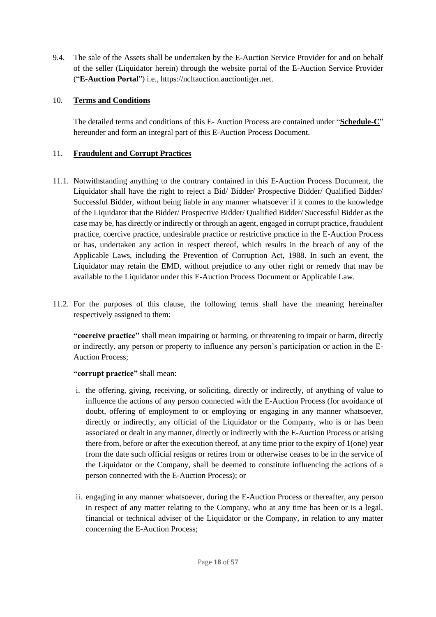9.4. The sale of the Assets shall be undertaken by the E-Auction Service Provider for and on behalf of the seller (Liquidator herein) through the website portal of the E-Auction Service Provider ("**E-Auction Portal**") i.e., https://ncltauction.auctiontiger.net.

## <span id="page-17-0"></span>10. **Terms and Conditions**

The detailed terms and conditions of this E- Auction Process are contained under "**Schedule-C**" hereunder and form an integral part of this E-Auction Process Document.

#### <span id="page-17-1"></span>11. **Fraudulent and Corrupt Practices**

- 11.1. Notwithstanding anything to the contrary contained in this E-Auction Process Document, the Liquidator shall have the right to reject a Bid/ Bidder/ Prospective Bidder/ Qualified Bidder/ Successful Bidder, without being liable in any manner whatsoever if it comes to the knowledge of the Liquidator that the Bidder/ Prospective Bidder/ Qualified Bidder/ Successful Bidder as the case may be, has directly or indirectly or through an agent, engaged in corrupt practice, fraudulent practice, coercive practice, undesirable practice or restrictive practice in the E-Auction Process or has, undertaken any action in respect thereof, which results in the breach of any of the Applicable Laws, including the Prevention of Corruption Act, 1988. In such an event, the Liquidator may retain the EMD, without prejudice to any other right or remedy that may be available to the Liquidator under this E-Auction Process Document or Applicable Law.
- 11.2. For the purposes of this clause, the following terms shall have the meaning hereinafter respectively assigned to them:

**"coercive practice"** shall mean impairing or harming, or threatening to impair or harm, directly or indirectly, any person or property to influence any person's participation or action in the E-Auction Process;

#### **"corrupt practice"** shall mean:

- i. the offering, giving, receiving, or soliciting, directly or indirectly, of anything of value to influence the actions of any person connected with the E-Auction Process (for avoidance of doubt, offering of employment to or employing or engaging in any manner whatsoever, directly or indirectly, any official of the Liquidator or the Company, who is or has been associated or dealt in any manner, directly or indirectly with the E-Auction Process or arising there from, before or after the execution thereof, at any time prior to the expiry of 1(one) year from the date such official resigns or retires from or otherwise ceases to be in the service of the Liquidator or the Company, shall be deemed to constitute influencing the actions of a person connected with the E-Auction Process); or
- ii. engaging in any manner whatsoever, during the E-Auction Process or thereafter, any person in respect of any matter relating to the Company, who at any time has been or is a legal, financial or technical adviser of the Liquidator or the Company, in relation to any matter concerning the E-Auction Process;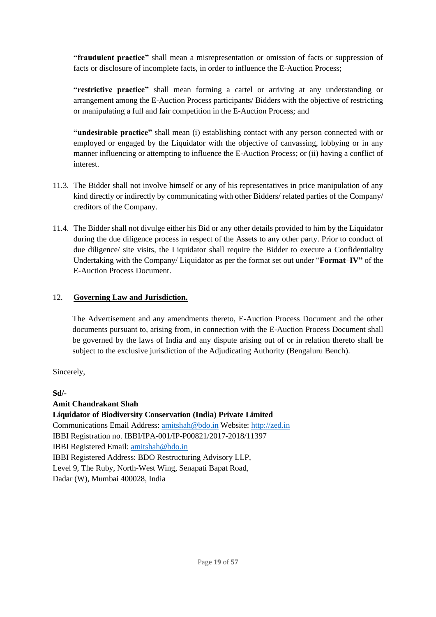**"fraudulent practice"** shall mean a misrepresentation or omission of facts or suppression of facts or disclosure of incomplete facts, in order to influence the E-Auction Process;

**"restrictive practice"** shall mean forming a cartel or arriving at any understanding or arrangement among the E-Auction Process participants/ Bidders with the objective of restricting or manipulating a full and fair competition in the E-Auction Process; and

**"undesirable practice"** shall mean (i) establishing contact with any person connected with or employed or engaged by the Liquidator with the objective of canvassing, lobbying or in any manner influencing or attempting to influence the E-Auction Process; or (ii) having a conflict of interest.

- 11.3. The Bidder shall not involve himself or any of his representatives in price manipulation of any kind directly or indirectly by communicating with other Bidders/ related parties of the Company/ creditors of the Company.
- 11.4. The Bidder shall not divulge either his Bid or any other details provided to him by the Liquidator during the due diligence process in respect of the Assets to any other party. Prior to conduct of due diligence/ site visits, the Liquidator shall require the Bidder to execute a Confidentiality Undertaking with the Company/ Liquidator as per the format set out under "**Format–IV"** of the E-Auction Process Document.

## <span id="page-18-0"></span>12. **Governing Law and Jurisdiction.**

The Advertisement and any amendments thereto, E-Auction Process Document and the other documents pursuant to, arising from, in connection with the E-Auction Process Document shall be governed by the laws of India and any dispute arising out of or in relation thereto shall be subject to the exclusive jurisdiction of the Adjudicating Authority (Bengaluru Bench).

Sincerely,

**Sd/-**

## **Amit Chandrakant Shah**

**Liquidator of Biodiversity Conservation (India) Private Limited**  Communications Email Address: amitshah@bdo.in Website: [http://zed.in](http://zed.in/) IBBI Registration no. IBBI/IPA-001/IP-P00821/2017-2018/11397 IBBI Registered Email: amitshah@bdo.in IBBI Registered Address: BDO Restructuring Advisory LLP, Level 9, The Ruby, North-West Wing, Senapati Bapat Road, Dadar (W), Mumbai 400028, India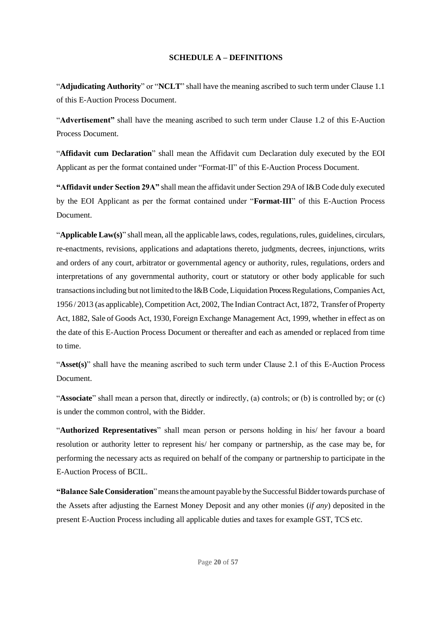#### **SCHEDULE A – DEFINITIONS**

<span id="page-19-0"></span>"**Adjudicating Authority**" or "**NCLT**" shall have the meaning ascribed to such term under Clause 1.1 of this E-Auction Process Document.

"**Advertisement"** shall have the meaning ascribed to such term under Clause 1.2 of this E-Auction Process Document.

"**Affidavit cum Declaration**" shall mean the Affidavit cum Declaration duly executed by the EOI Applicant as per the format contained under "Format-II" of this E-Auction Process Document.

**"Affidavit under Section 29A"** shall mean the affidavit under Section 29A of I&B Code duly executed by the EOI Applicant as per the format contained under "**Format-III**" of this E-Auction Process Document.

"**Applicable Law(s)**" shall mean, all the applicable laws, codes,regulations, rules, guidelines, circulars, re-enactments, revisions, applications and adaptations thereto, judgments, decrees, injunctions, writs and orders of any court, arbitrator or governmental agency or authority, rules, regulations, orders and interpretations of any governmental authority, court or statutory or other body applicable for such transactionsincluding but not limited to the I&B Code, Liquidation Process Regulations,Companies Act, 1956 / 2013 (as applicable),Competition Act, 2002, The Indian Contract Act, 1872, Transfer of Property Act, 1882, Sale of Goods Act, 1930, Foreign Exchange Management Act, 1999, whether in effect as on the date of this E-Auction Process Document or thereafter and each as amended or replaced from time to time.

"**Asset(s)**" shall have the meaning ascribed to such term under Clause 2.1 of this E-Auction Process Document.

"**Associate**" shall mean a person that, directly or indirectly, (a) controls; or (b) is controlled by; or (c) is under the common control, with the Bidder.

"**Authorized Representatives**" shall mean person or persons holding in his/ her favour a board resolution or authority letter to represent his/ her company or partnership, as the case may be, for performing the necessary acts as required on behalf of the company or partnership to participate in the E-Auction Process of BCIL.

**"Balance SaleConsideration**"meansthe amount payable by the SuccessfulBiddertowards purchase of the Assets after adjusting the Earnest Money Deposit and any other monies (*if any*) deposited in the present E-Auction Process including all applicable duties and taxes for example GST, TCS etc.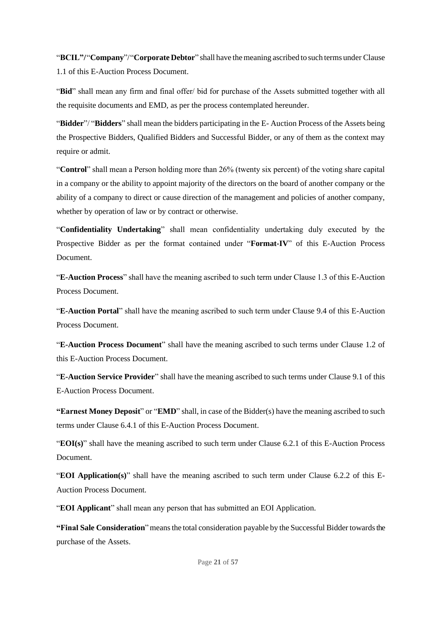"**BCIL"/**"**Company**"/"**Corporate Debtor**" shall have themeaning ascribed to such terms under Clause 1.1 of this E-Auction Process Document.

"**Bid**" shall mean any firm and final offer/ bid for purchase of the Assets submitted together with all the requisite documents and EMD, as per the process contemplated hereunder.

"**Bidder**"/ "**Bidders**" shall mean the bidders participating in the E- Auction Process of the Assets being the Prospective Bidders, Qualified Bidders and Successful Bidder, or any of them as the context may require or admit.

"**Control**" shall mean a Person holding more than 26% (twenty six percent) of the voting share capital in a company or the ability to appoint majority of the directors on the board of another company or the ability of a company to direct or cause direction of the management and policies of another company, whether by operation of law or by contract or otherwise.

"**Confidentiality Undertaking**" shall mean confidentiality undertaking duly executed by the Prospective Bidder as per the format contained under "**Format-IV**" of this E-Auction Process Document.

"**E-Auction Process**" shall have the meaning ascribed to such term under Clause 1.3 of this E-Auction Process Document.

"**E-Auction Portal**" shall have the meaning ascribed to such term under Clause 9.4 of this E-Auction Process Document.

"**E-Auction Process Document**" shall have the meaning ascribed to such terms under Clause 1.2 of this E-Auction Process Document.

"**E-Auction Service Provider**" shall have the meaning ascribed to such terms under Clause 9.1 of this E-Auction Process Document.

**"Earnest Money Deposit**" or "**EMD**" shall, in case of the Bidder(s) have the meaning ascribed to such terms under Clause 6.4.1 of this E-Auction Process Document.

"**EOI(s)**" shall have the meaning ascribed to such term under Clause 6.2.1 of this E-Auction Process Document.

"**EOI Application(s)**" shall have the meaning ascribed to such term under Clause 6.2.2 of this E-Auction Process Document.

"**EOI Applicant**" shall mean any person that has submitted an EOI Application.

"Final Sale Consideration" means the total consideration payable by the Successful Bidder towards the purchase of the Assets.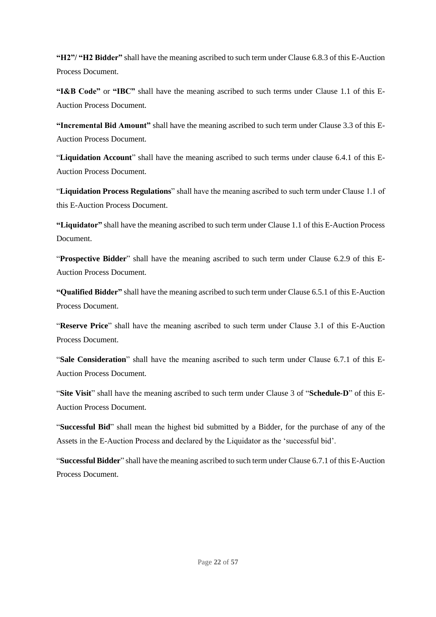**"H2"/ "H2 Bidder"** shall have the meaning ascribed to such term under Clause 6.8.3 of this E-Auction Process Document.

**"I&B Code"** or **"IBC"** shall have the meaning ascribed to such terms under Clause 1.1 of this E-Auction Process Document.

**"Incremental Bid Amount"** shall have the meaning ascribed to such term under Clause 3.3 of this E-Auction Process Document.

"**Liquidation Account**" shall have the meaning ascribed to such terms under clause 6.4.1 of this E-Auction Process Document.

"**Liquidation Process Regulations**" shall have the meaning ascribed to such term under Clause 1.1 of this E-Auction Process Document.

**"Liquidator"** shall have the meaning ascribed to such term under Clause 1.1 of this E-Auction Process Document.

"**Prospective Bidder**" shall have the meaning ascribed to such term under Clause 6.2.9 of this E-Auction Process Document.

**"Qualified Bidder"** shall have the meaning ascribed to such term under Clause 6.5.1 of this E-Auction Process Document.

"**Reserve Price**" shall have the meaning ascribed to such term under Clause 3.1 of this E-Auction Process Document.

"**Sale Consideration**" shall have the meaning ascribed to such term under Clause 6.7.1 of this E-Auction Process Document.

"**Site Visit**" shall have the meaning ascribed to such term under Clause 3 of "**Schedule-D**" of this E-Auction Process Document.

"**Successful Bid**" shall mean the highest bid submitted by a Bidder, for the purchase of any of the Assets in the E-Auction Process and declared by the Liquidator as the 'successful bid'.

"**Successful Bidder**" shall have the meaning ascribed to such term under Clause 6.7.1 of this E-Auction Process Document.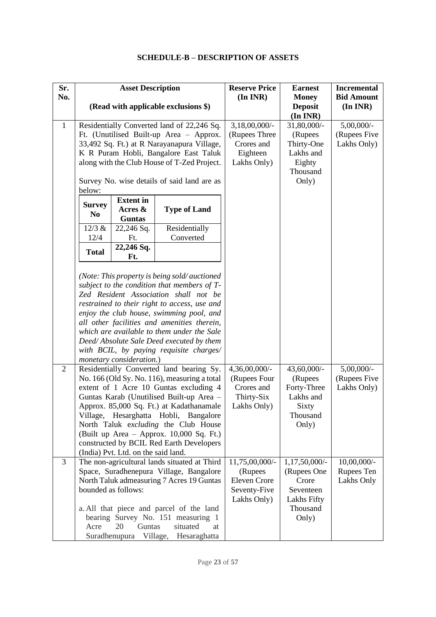## **SCHEDULE-B – DESCRIPTION OF ASSETS**

<span id="page-22-0"></span>

| Sr.<br>No.     |                                                       | <b>Asset Description</b>            |                                                                                             | <b>Reserve Price</b><br>$(In\,INR)$ | <b>Earnest</b><br><b>Money</b> | <b>Incremental</b><br><b>Bid Amount</b> |
|----------------|-------------------------------------------------------|-------------------------------------|---------------------------------------------------------------------------------------------|-------------------------------------|--------------------------------|-----------------------------------------|
|                |                                                       |                                     | (Read with applicable exclusions \$)                                                        |                                     | <b>Deposit</b><br>(In INR)     | (In INR)                                |
| $\mathbf{1}$   | Residentially Converted land of 22,246 Sq.            |                                     | $3,18,00,000/$ -                                                                            | 31,80,000/-                         | 5,00,000/-                     |                                         |
|                |                                                       |                                     | Ft. (Unutilised Built-up Area - Approx.                                                     | (Rupees Three                       | (Rupees                        | (Rupees Five                            |
|                |                                                       |                                     | 33,492 Sq. Ft.) at R Narayanapura Village,                                                  | Crores and                          | Thirty-One                     | Lakhs Only)                             |
|                |                                                       |                                     | K R Puram Hobli, Bangalore East Taluk                                                       | Eighteen                            | Lakhs and                      |                                         |
|                |                                                       |                                     | along with the Club House of T-Zed Project.                                                 | Lakhs Only)                         | Eighty                         |                                         |
|                |                                                       |                                     |                                                                                             |                                     | Thousand                       |                                         |
|                | Survey No. wise details of said land are as<br>below: |                                     |                                                                                             | Only)                               |                                |                                         |
|                |                                                       | <b>Extent in</b>                    |                                                                                             |                                     |                                |                                         |
|                | <b>Survey</b>                                         | Acres &                             | <b>Type of Land</b>                                                                         |                                     |                                |                                         |
|                | N <sub>0</sub>                                        | <b>Guntas</b>                       |                                                                                             |                                     |                                |                                         |
|                | 12/3 &                                                | 22,246 Sq.                          | Residentially                                                                               |                                     |                                |                                         |
|                | 12/4                                                  | Ft.                                 | Converted                                                                                   |                                     |                                |                                         |
|                | <b>Total</b>                                          | 22,246 Sq.<br>Ft.                   |                                                                                             |                                     |                                |                                         |
|                |                                                       |                                     |                                                                                             |                                     |                                |                                         |
|                |                                                       |                                     | (Note: This property is being sold/auctioned<br>subject to the condition that members of T- |                                     |                                |                                         |
|                |                                                       |                                     | Zed Resident Association shall not be                                                       |                                     |                                |                                         |
|                |                                                       |                                     | restrained to their right to access, use and                                                |                                     |                                |                                         |
|                |                                                       |                                     | enjoy the club house, swimming pool, and                                                    |                                     |                                |                                         |
|                |                                                       |                                     | all other facilities and amenities therein,                                                 |                                     |                                |                                         |
|                |                                                       |                                     | which are available to them under the Sale                                                  |                                     |                                |                                         |
|                |                                                       |                                     | Deed/Absolute Sale Deed executed by them                                                    |                                     |                                |                                         |
|                |                                                       |                                     | with BCIL, by paying requisite charges/                                                     |                                     |                                |                                         |
|                |                                                       | monetary consideration.)            |                                                                                             |                                     |                                |                                         |
| $\overline{2}$ |                                                       |                                     | Residentially Converted land bearing Sy.                                                    | 4,36,00,000/-                       | 43,60,000/-                    | $5,00,000/$ -                           |
|                |                                                       |                                     | No. 166 (Old Sy. No. 116), measuring a total                                                | (Rupees Four                        | (Rupees                        | (Rupees Five                            |
|                |                                                       |                                     | extent of 1 Acre 10 Guntas excluding 4                                                      | Crores and                          | Forty-Three                    | Lakhs Only)                             |
|                |                                                       |                                     | Guntas Karab (Unutilised Built-up Area -                                                    | Thirty-Six                          | Lakhs and                      |                                         |
|                |                                                       |                                     | Approx. 85,000 Sq. Ft.) at Kadathanamale                                                    | Lakhs Only)                         | Sixty                          |                                         |
|                |                                                       |                                     | Village, Hesarghatta Hobli, Bangalore                                                       |                                     | Thousand                       |                                         |
|                |                                                       |                                     | North Taluk excluding the Club House                                                        |                                     | Only)                          |                                         |
|                |                                                       |                                     | (Built up Area – Approx. $10,000$ Sq. Ft.)                                                  |                                     |                                |                                         |
|                |                                                       |                                     | constructed by BCIL Red Earth Developers                                                    |                                     |                                |                                         |
|                |                                                       | (India) Pvt. Ltd. on the said land. |                                                                                             |                                     |                                |                                         |
| $\overline{3}$ |                                                       |                                     | The non-agricultural lands situated at Third                                                | 11,75,00,000/-                      | $1,17,50,000/$ -               | $10,00,000/$ -                          |
|                |                                                       |                                     | Space, Suradhenepura Village, Bangalore                                                     | (Rupees                             | (Rupees One                    | Rupees Ten                              |
|                |                                                       |                                     | North Taluk admeasuring 7 Acres 19 Guntas                                                   | <b>Eleven Crore</b>                 | Crore                          | Lakhs Only                              |
|                |                                                       | bounded as follows:                 |                                                                                             | Seventy-Five                        | Seventeen                      |                                         |
|                |                                                       |                                     |                                                                                             | Lakhs Only)                         | Lakhs Fifty                    |                                         |
|                |                                                       |                                     | a. All that piece and parcel of the land                                                    |                                     | Thousand                       |                                         |
|                |                                                       |                                     | bearing Survey No. 151 measuring 1                                                          |                                     | Only)                          |                                         |
|                | Acre                                                  | 20<br>Guntas                        | situated<br>at                                                                              |                                     |                                |                                         |
|                |                                                       | Suradhenupura                       | Village,<br>Hesaraghatta                                                                    |                                     |                                |                                         |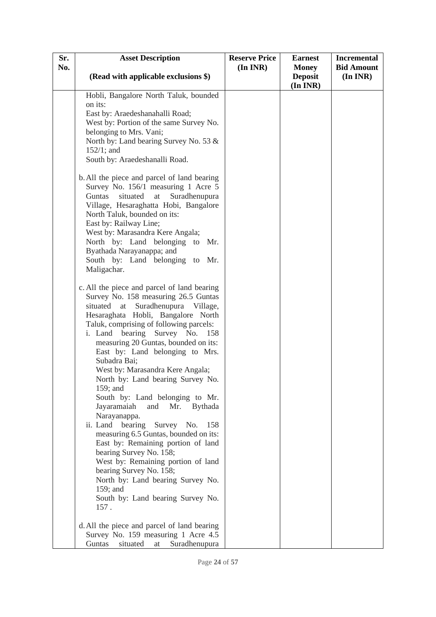| Sr. | <b>Asset Description</b>                                                                                                                                                                                                                                                                                                                                                                                                                                                                                                                                                                                                                                                                                                                                                                                                                                           | <b>Reserve Price</b> | <b>Earnest</b>             | <b>Incremental</b> |
|-----|--------------------------------------------------------------------------------------------------------------------------------------------------------------------------------------------------------------------------------------------------------------------------------------------------------------------------------------------------------------------------------------------------------------------------------------------------------------------------------------------------------------------------------------------------------------------------------------------------------------------------------------------------------------------------------------------------------------------------------------------------------------------------------------------------------------------------------------------------------------------|----------------------|----------------------------|--------------------|
| No. |                                                                                                                                                                                                                                                                                                                                                                                                                                                                                                                                                                                                                                                                                                                                                                                                                                                                    | $(In\,INR)$          | <b>Money</b>               | <b>Bid Amount</b>  |
|     | (Read with applicable exclusions \$)                                                                                                                                                                                                                                                                                                                                                                                                                                                                                                                                                                                                                                                                                                                                                                                                                               |                      | <b>Deposit</b><br>(In INR) | $(In\,INR)$        |
|     | Hobli, Bangalore North Taluk, bounded                                                                                                                                                                                                                                                                                                                                                                                                                                                                                                                                                                                                                                                                                                                                                                                                                              |                      |                            |                    |
|     | on its:                                                                                                                                                                                                                                                                                                                                                                                                                                                                                                                                                                                                                                                                                                                                                                                                                                                            |                      |                            |                    |
|     | East by: Araedeshanahalli Road;                                                                                                                                                                                                                                                                                                                                                                                                                                                                                                                                                                                                                                                                                                                                                                                                                                    |                      |                            |                    |
|     | West by: Portion of the same Survey No.                                                                                                                                                                                                                                                                                                                                                                                                                                                                                                                                                                                                                                                                                                                                                                                                                            |                      |                            |                    |
|     | belonging to Mrs. Vani;                                                                                                                                                                                                                                                                                                                                                                                                                                                                                                                                                                                                                                                                                                                                                                                                                                            |                      |                            |                    |
|     | North by: Land bearing Survey No. 53 &                                                                                                                                                                                                                                                                                                                                                                                                                                                                                                                                                                                                                                                                                                                                                                                                                             |                      |                            |                    |
|     | $152/1$ ; and                                                                                                                                                                                                                                                                                                                                                                                                                                                                                                                                                                                                                                                                                                                                                                                                                                                      |                      |                            |                    |
|     | South by: Araedeshanalli Road.                                                                                                                                                                                                                                                                                                                                                                                                                                                                                                                                                                                                                                                                                                                                                                                                                                     |                      |                            |                    |
|     | b. All the piece and parcel of land bearing<br>Survey No. 156/1 measuring 1 Acre 5<br>Guntas<br>situated<br>at<br>Suradhenupura<br>Village, Hesaraghatta Hobi, Bangalore<br>North Taluk, bounded on its:<br>East by: Railway Line;<br>West by: Marasandra Kere Angala;<br>North by: Land belonging to Mr.<br>Byathada Narayanappa; and<br>South by: Land belonging to Mr.<br>Maligachar.                                                                                                                                                                                                                                                                                                                                                                                                                                                                           |                      |                            |                    |
|     | c. All the piece and parcel of land bearing<br>Survey No. 158 measuring 26.5 Guntas<br>Suradhenupura Village,<br>situated<br>at<br>Hesaraghata Hobli, Bangalore North<br>Taluk, comprising of following parcels:<br>i. Land<br>bearing<br>Survey No.<br>158<br>measuring 20 Guntas, bounded on its:<br>East by: Land belonging to Mrs.<br>Subadra Bai;<br>West by: Marasandra Kere Angala;<br>North by: Land bearing Survey No.<br>$159$ ; and<br>South by: Land belonging to Mr.<br>Jayaramaiah<br>and<br>Mr.<br><b>Bythada</b><br>Narayanappa.<br>ii. Land bearing<br>Survey No.<br>158<br>measuring 6.5 Guntas, bounded on its:<br>East by: Remaining portion of land<br>bearing Survey No. 158;<br>West by: Remaining portion of land<br>bearing Survey No. 158;<br>North by: Land bearing Survey No.<br>159; and<br>South by: Land bearing Survey No.<br>157. |                      |                            |                    |
|     | d. All the piece and parcel of land bearing<br>Survey No. 159 measuring 1 Acre 4.5<br>Guntas<br>situated<br>Suradhenupura<br>at                                                                                                                                                                                                                                                                                                                                                                                                                                                                                                                                                                                                                                                                                                                                    |                      |                            |                    |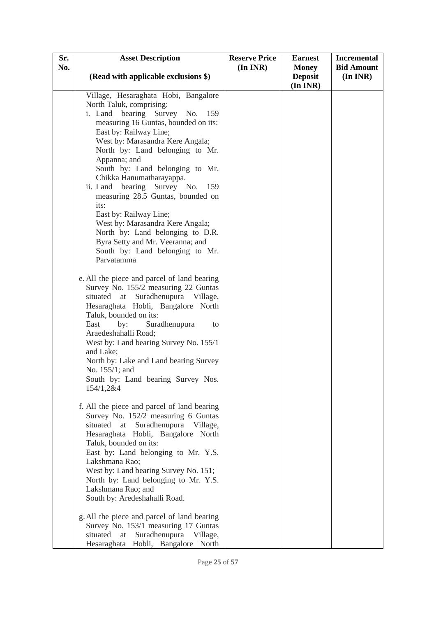| Sr. | <b>Asset Description</b>                                                      | <b>Reserve Price</b> | <b>Earnest</b>                 | <b>Incremental</b>               |
|-----|-------------------------------------------------------------------------------|----------------------|--------------------------------|----------------------------------|
| No. | (Read with applicable exclusions \$)                                          | $(In\,INR)$          | <b>Money</b><br><b>Deposit</b> | <b>Bid Amount</b><br>$(In\,INR)$ |
|     |                                                                               |                      | (In INR)                       |                                  |
|     | Village, Hesaraghata Hobi, Bangalore                                          |                      |                                |                                  |
|     | North Taluk, comprising:                                                      |                      |                                |                                  |
|     | Survey No.<br>bearing<br>i. Land<br>159                                       |                      |                                |                                  |
|     | measuring 16 Guntas, bounded on its:                                          |                      |                                |                                  |
|     | East by: Railway Line;<br>West by: Marasandra Kere Angala;                    |                      |                                |                                  |
|     | North by: Land belonging to Mr.                                               |                      |                                |                                  |
|     | Appanna; and                                                                  |                      |                                |                                  |
|     | South by: Land belonging to Mr.                                               |                      |                                |                                  |
|     | Chikka Hanumatharayappa.                                                      |                      |                                |                                  |
|     | ii. Land bearing Survey No.<br>159                                            |                      |                                |                                  |
|     | measuring 28.5 Guntas, bounded on                                             |                      |                                |                                  |
|     | its:                                                                          |                      |                                |                                  |
|     | East by: Railway Line;<br>West by: Marasandra Kere Angala;                    |                      |                                |                                  |
|     | North by: Land belonging to D.R.                                              |                      |                                |                                  |
|     | Byra Setty and Mr. Veeranna; and                                              |                      |                                |                                  |
|     | South by: Land belonging to Mr.                                               |                      |                                |                                  |
|     | Parvatamma                                                                    |                      |                                |                                  |
|     | e. All the piece and parcel of land bearing                                   |                      |                                |                                  |
|     | Survey No. 155/2 measuring 22 Guntas                                          |                      |                                |                                  |
|     | Suradhenupura Village,<br>situated<br>at                                      |                      |                                |                                  |
|     | Hesaraghata Hobli, Bangalore North                                            |                      |                                |                                  |
|     | Taluk, bounded on its:                                                        |                      |                                |                                  |
|     | East<br>by:<br>Suradhenupura<br>to                                            |                      |                                |                                  |
|     | Araedeshahalli Road;<br>West by: Land bearing Survey No. 155/1                |                      |                                |                                  |
|     | and Lake;                                                                     |                      |                                |                                  |
|     | North by: Lake and Land bearing Survey                                        |                      |                                |                                  |
|     | No. 155/1; and                                                                |                      |                                |                                  |
|     | South by: Land bearing Survey Nos.                                            |                      |                                |                                  |
|     | 154/1,2&4                                                                     |                      |                                |                                  |
|     | f. All the piece and parcel of land bearing                                   |                      |                                |                                  |
|     | Survey No. 152/2 measuring 6 Guntas                                           |                      |                                |                                  |
|     | Suradhenupura<br>situated<br>at<br>Village,                                   |                      |                                |                                  |
|     | Hesaraghata Hobli, Bangalore North                                            |                      |                                |                                  |
|     | Taluk, bounded on its:                                                        |                      |                                |                                  |
|     | East by: Land belonging to Mr. Y.S.                                           |                      |                                |                                  |
|     | Lakshmana Rao;                                                                |                      |                                |                                  |
|     | West by: Land bearing Survey No. 151;<br>North by: Land belonging to Mr. Y.S. |                      |                                |                                  |
|     | Lakshmana Rao; and                                                            |                      |                                |                                  |
|     | South by: Aredeshahalli Road.                                                 |                      |                                |                                  |
|     | g. All the piece and parcel of land bearing                                   |                      |                                |                                  |
|     | Survey No. 153/1 measuring 17 Guntas                                          |                      |                                |                                  |
|     | Suradhenupura Village,<br>situated<br>at                                      |                      |                                |                                  |
|     | Hesaraghata Hobli, Bangalore North                                            |                      |                                |                                  |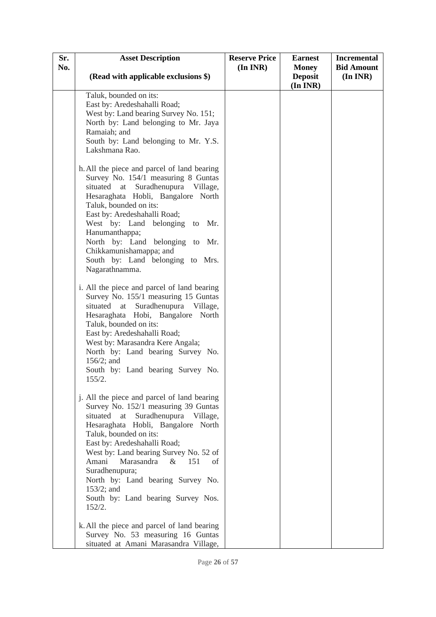| Sr. | <b>Asset Description</b>                                         | <b>Reserve Price</b> | <b>Earnest</b> | <b>Incremental</b> |
|-----|------------------------------------------------------------------|----------------------|----------------|--------------------|
| No. |                                                                  | $(In\,INR)$          | <b>Money</b>   | <b>Bid Amount</b>  |
|     | (Read with applicable exclusions \$)                             |                      | <b>Deposit</b> | $(In\,INR)$        |
|     |                                                                  |                      | (In INR)       |                    |
|     | Taluk, bounded on its:<br>East by: Aredeshahalli Road;           |                      |                |                    |
|     | West by: Land bearing Survey No. 151;                            |                      |                |                    |
|     | North by: Land belonging to Mr. Jaya                             |                      |                |                    |
|     | Ramaiah; and                                                     |                      |                |                    |
|     | South by: Land belonging to Mr. Y.S.                             |                      |                |                    |
|     | Lakshmana Rao.                                                   |                      |                |                    |
|     | h. All the piece and parcel of land bearing                      |                      |                |                    |
|     | Survey No. 154/1 measuring 8 Guntas                              |                      |                |                    |
|     | situated at Suradhenupura Village,                               |                      |                |                    |
|     | Hesaraghata Hobli, Bangalore North                               |                      |                |                    |
|     | Taluk, bounded on its:                                           |                      |                |                    |
|     | East by: Aredeshahalli Road;                                     |                      |                |                    |
|     | West by: Land belonging to<br>Mr.                                |                      |                |                    |
|     | Hanumanthappa;                                                   |                      |                |                    |
|     | North by: Land belonging to Mr.<br>Chikkamunishamappa; and       |                      |                |                    |
|     | South by: Land belonging to Mrs.                                 |                      |                |                    |
|     | Nagarathnamma.                                                   |                      |                |                    |
|     |                                                                  |                      |                |                    |
|     | i. All the piece and parcel of land bearing                      |                      |                |                    |
|     | Survey No. 155/1 measuring 15 Guntas                             |                      |                |                    |
|     | Suradhenupura Village,<br>situated<br>at                         |                      |                |                    |
|     | Hesaraghata Hobi, Bangalore North                                |                      |                |                    |
|     | Taluk, bounded on its:                                           |                      |                |                    |
|     | East by: Aredeshahalli Road;<br>West by: Marasandra Kere Angala; |                      |                |                    |
|     | North by: Land bearing Survey No.                                |                      |                |                    |
|     | $156/2$ ; and                                                    |                      |                |                    |
|     | South by: Land bearing Survey No.                                |                      |                |                    |
|     | 155/2.                                                           |                      |                |                    |
|     | j. All the piece and parcel of land bearing                      |                      |                |                    |
|     | Survey No. 152/1 measuring 39 Guntas                             |                      |                |                    |
|     | situated<br>Suradhenupura Village,<br>at                         |                      |                |                    |
|     | Hesaraghata Hobli, Bangalore North                               |                      |                |                    |
|     | Taluk, bounded on its:                                           |                      |                |                    |
|     | East by: Aredeshahalli Road;                                     |                      |                |                    |
|     | West by: Land bearing Survey No. 52 of                           |                      |                |                    |
|     | 151<br>Amani<br>Marasandra<br>$\&$<br>of                         |                      |                |                    |
|     | Suradhenupura;<br>North by: Land bearing Survey No.              |                      |                |                    |
|     | $153/2$ ; and                                                    |                      |                |                    |
|     | South by: Land bearing Survey Nos.                               |                      |                |                    |
|     | 152/2.                                                           |                      |                |                    |
|     | k. All the piece and parcel of land bearing                      |                      |                |                    |
|     | Survey No. 53 measuring 16 Guntas                                |                      |                |                    |
|     | situated at Amani Marasandra Village,                            |                      |                |                    |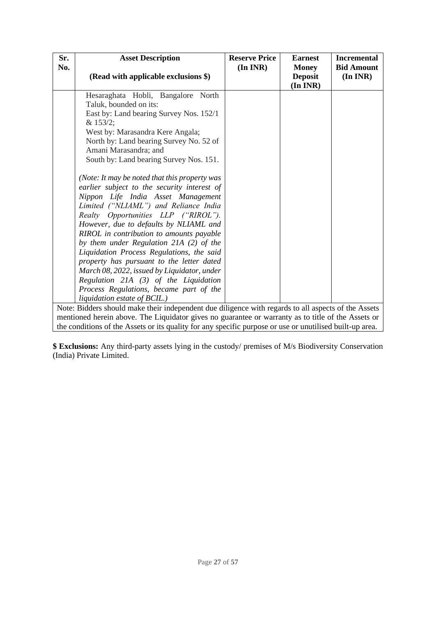| Sr.                                                                                                 | <b>Asset Description</b>                                                                                 | <b>Reserve Price</b> | <b>Earnest</b>                             | <b>Incremental</b>               |
|-----------------------------------------------------------------------------------------------------|----------------------------------------------------------------------------------------------------------|----------------------|--------------------------------------------|----------------------------------|
| No.                                                                                                 | (Read with applicable exclusions \$)                                                                     | $(In\,INR)$          | <b>Money</b><br><b>Deposit</b><br>(In INR) | <b>Bid Amount</b><br>$(In\,INR)$ |
|                                                                                                     | Hesaraghata Hobli, Bangalore North                                                                       |                      |                                            |                                  |
|                                                                                                     | Taluk, bounded on its:                                                                                   |                      |                                            |                                  |
|                                                                                                     | East by: Land bearing Survey Nos. 152/1                                                                  |                      |                                            |                                  |
|                                                                                                     | & 153/2;                                                                                                 |                      |                                            |                                  |
|                                                                                                     | West by: Marasandra Kere Angala;                                                                         |                      |                                            |                                  |
|                                                                                                     | North by: Land bearing Survey No. 52 of                                                                  |                      |                                            |                                  |
|                                                                                                     | Amani Marasandra; and                                                                                    |                      |                                            |                                  |
|                                                                                                     | South by: Land bearing Survey Nos. 151.                                                                  |                      |                                            |                                  |
|                                                                                                     | (Note: It may be noted that this property was                                                            |                      |                                            |                                  |
|                                                                                                     | earlier subject to the security interest of                                                              |                      |                                            |                                  |
|                                                                                                     | Nippon Life India Asset Management                                                                       |                      |                                            |                                  |
|                                                                                                     | Limited ("NLIAML") and Reliance India                                                                    |                      |                                            |                                  |
|                                                                                                     | Realty Opportunities LLP ("RIROL").                                                                      |                      |                                            |                                  |
|                                                                                                     | However, due to defaults by NLIAML and                                                                   |                      |                                            |                                  |
|                                                                                                     | RIROL in contribution to amounts payable                                                                 |                      |                                            |                                  |
|                                                                                                     | by them under Regulation 21A (2) of the                                                                  |                      |                                            |                                  |
|                                                                                                     | Liquidation Process Regulations, the said                                                                |                      |                                            |                                  |
|                                                                                                     | property has pursuant to the letter dated                                                                |                      |                                            |                                  |
|                                                                                                     | March 08, 2022, issued by Liquidator, under                                                              |                      |                                            |                                  |
|                                                                                                     | Regulation $21A(3)$ of the Liquidation                                                                   |                      |                                            |                                  |
|                                                                                                     | Process Regulations, became part of the                                                                  |                      |                                            |                                  |
|                                                                                                     | liquidation estate of BCIL.)                                                                             |                      |                                            |                                  |
| Note: Bidders should make their independent due diligence with regards to all aspects of the Assets |                                                                                                          |                      |                                            |                                  |
| mentioned herein above. The Liquidator gives no guarantee or warranty as to title of the Assets or  |                                                                                                          |                      |                                            |                                  |
|                                                                                                     | the conditions of the Assets or its quality for any specific purpose or use or unutilised built-up area. |                      |                                            |                                  |

**\$ Exclusions:** Any third-party assets lying in the custody/ premises of M/s Biodiversity Conservation (India) Private Limited.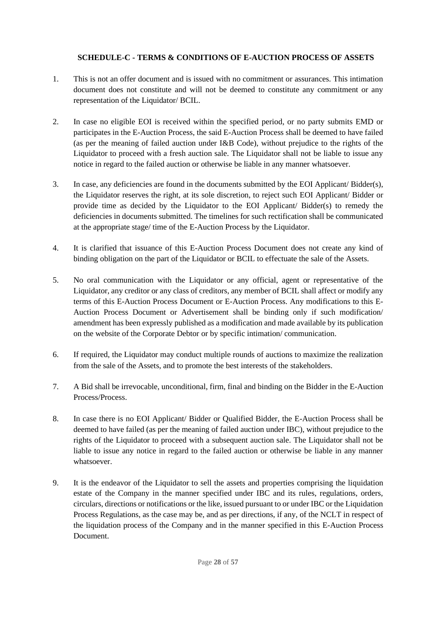## **SCHEDULE-C - TERMS & CONDITIONS OF E-AUCTION PROCESS OF ASSETS**

- <span id="page-27-0"></span>1. This is not an offer document and is issued with no commitment or assurances. This intimation document does not constitute and will not be deemed to constitute any commitment or any representation of the Liquidator/ BCIL.
- 2. In case no eligible EOI is received within the specified period, or no party submits EMD or participates in the E-Auction Process, the said E-Auction Process shall be deemed to have failed (as per the meaning of failed auction under I&B Code), without prejudice to the rights of the Liquidator to proceed with a fresh auction sale. The Liquidator shall not be liable to issue any notice in regard to the failed auction or otherwise be liable in any manner whatsoever.
- 3. In case, any deficiencies are found in the documents submitted by the EOI Applicant/ Bidder(s), the Liquidator reserves the right, at its sole discretion, to reject such EOI Applicant/ Bidder or provide time as decided by the Liquidator to the EOI Applicant/ Bidder(s) to remedy the deficiencies in documents submitted. The timelines for such rectification shall be communicated at the appropriate stage/ time of the E-Auction Process by the Liquidator.
- 4. It is clarified that issuance of this E-Auction Process Document does not create any kind of binding obligation on the part of the Liquidator or BCIL to effectuate the sale of the Assets.
- 5. No oral communication with the Liquidator or any official, agent or representative of the Liquidator, any creditor or any class of creditors, any member of BCIL shall affect or modify any terms of this E-Auction Process Document or E-Auction Process. Any modifications to this E-Auction Process Document or Advertisement shall be binding only if such modification/ amendment has been expressly published as a modification and made available by its publication on the website of the Corporate Debtor or by specific intimation/ communication.
- 6. If required, the Liquidator may conduct multiple rounds of auctions to maximize the realization from the sale of the Assets, and to promote the best interests of the stakeholders.
- 7. A Bid shall be irrevocable, unconditional, firm, final and binding on the Bidder in the E-Auction Process/Process.
- 8. In case there is no EOI Applicant/ Bidder or Qualified Bidder, the E-Auction Process shall be deemed to have failed (as per the meaning of failed auction under IBC), without prejudice to the rights of the Liquidator to proceed with a subsequent auction sale. The Liquidator shall not be liable to issue any notice in regard to the failed auction or otherwise be liable in any manner whatsoever.
- 9. It is the endeavor of the Liquidator to sell the assets and properties comprising the liquidation estate of the Company in the manner specified under IBC and its rules, regulations, orders, circulars, directions or notifications or the like, issued pursuant to or under IBC or the Liquidation Process Regulations, as the case may be, and as per directions, if any, of the NCLT in respect of the liquidation process of the Company and in the manner specified in this E-Auction Process Document.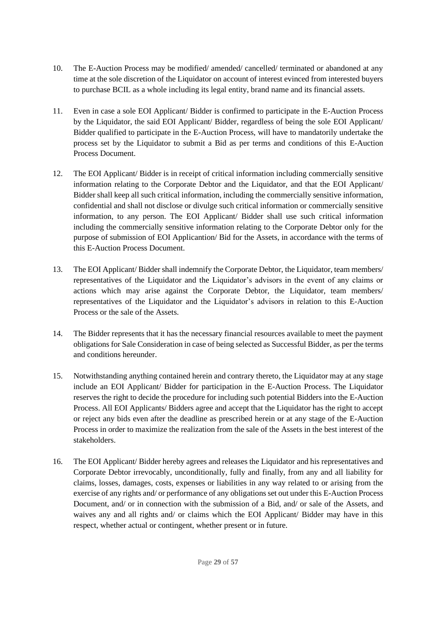- 10. The E-Auction Process may be modified/ amended/ cancelled/ terminated or abandoned at any time at the sole discretion of the Liquidator on account of interest evinced from interested buyers to purchase BCIL as a whole including its legal entity, brand name and its financial assets.
- 11. Even in case a sole EOI Applicant/ Bidder is confirmed to participate in the E-Auction Process by the Liquidator, the said EOI Applicant/ Bidder, regardless of being the sole EOI Applicant/ Bidder qualified to participate in the E-Auction Process, will have to mandatorily undertake the process set by the Liquidator to submit a Bid as per terms and conditions of this E-Auction Process Document.
- 12. The EOI Applicant/ Bidder is in receipt of critical information including commercially sensitive information relating to the Corporate Debtor and the Liquidator, and that the EOI Applicant/ Bidder shall keep all such critical information, including the commercially sensitive information, confidential and shall not disclose or divulge such critical information or commercially sensitive information, to any person. The EOI Applicant/ Bidder shall use such critical information including the commercially sensitive information relating to the Corporate Debtor only for the purpose of submission of EOI Applicantion/ Bid for the Assets, in accordance with the terms of this E-Auction Process Document.
- 13. The EOI Applicant/ Bidder shall indemnify the Corporate Debtor, the Liquidator, team members/ representatives of the Liquidator and the Liquidator's advisors in the event of any claims or actions which may arise against the Corporate Debtor, the Liquidator, team members/ representatives of the Liquidator and the Liquidator's advisors in relation to this E-Auction Process or the sale of the Assets.
- 14. The Bidder represents that it has the necessary financial resources available to meet the payment obligations for Sale Consideration in case of being selected as Successful Bidder, as per the terms and conditions hereunder.
- 15. Notwithstanding anything contained herein and contrary thereto, the Liquidator may at any stage include an EOI Applicant/ Bidder for participation in the E-Auction Process. The Liquidator reserves the right to decide the procedure for including such potential Bidders into the E-Auction Process. All EOI Applicants/ Bidders agree and accept that the Liquidator has the right to accept or reject any bids even after the deadline as prescribed herein or at any stage of the E-Auction Process in order to maximize the realization from the sale of the Assets in the best interest of the stakeholders.
- 16. The EOI Applicant/ Bidder hereby agrees and releases the Liquidator and his representatives and Corporate Debtor irrevocably, unconditionally, fully and finally, from any and all liability for claims, losses, damages, costs, expenses or liabilities in any way related to or arising from the exercise of any rights and/ or performance of any obligations set out under this E-Auction Process Document, and/ or in connection with the submission of a Bid, and/ or sale of the Assets, and waives any and all rights and/ or claims which the EOI Applicant/ Bidder may have in this respect, whether actual or contingent, whether present or in future.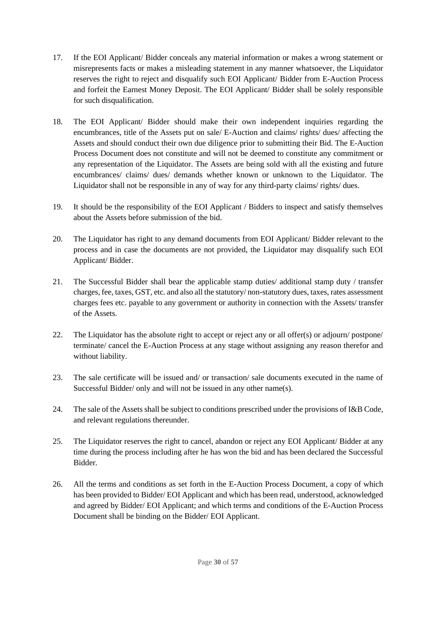- 17. If the EOI Applicant/ Bidder conceals any material information or makes a wrong statement or misrepresents facts or makes a misleading statement in any manner whatsoever, the Liquidator reserves the right to reject and disqualify such EOI Applicant/ Bidder from E-Auction Process and forfeit the Earnest Money Deposit. The EOI Applicant/ Bidder shall be solely responsible for such disqualification.
- 18. The EOI Applicant/ Bidder should make their own independent inquiries regarding the encumbrances, title of the Assets put on sale/ E-Auction and claims/ rights/ dues/ affecting the Assets and should conduct their own due diligence prior to submitting their Bid. The E-Auction Process Document does not constitute and will not be deemed to constitute any commitment or any representation of the Liquidator. The Assets are being sold with all the existing and future encumbrances/ claims/ dues/ demands whether known or unknown to the Liquidator. The Liquidator shall not be responsible in any of way for any third-party claims/ rights/ dues.
- 19. It should be the responsibility of the EOI Applicant / Bidders to inspect and satisfy themselves about the Assets before submission of the bid.
- 20. The Liquidator has right to any demand documents from EOI Applicant/ Bidder relevant to the process and in case the documents are not provided, the Liquidator may disqualify such EOI Applicant/ Bidder.
- 21. The Successful Bidder shall bear the applicable stamp duties/ additional stamp duty / transfer charges, fee, taxes, GST, etc. and also all the statutory/ non-statutory dues, taxes, rates assessment charges fees etc. payable to any government or authority in connection with the Assets/ transfer of the Assets.
- 22. The Liquidator has the absolute right to accept or reject any or all offer(s) or adjourn/ postpone/ terminate/ cancel the E-Auction Process at any stage without assigning any reason therefor and without liability.
- 23. The sale certificate will be issued and/ or transaction/ sale documents executed in the name of Successful Bidder/ only and will not be issued in any other name(s).
- 24. The sale of the Assets shall be subject to conditions prescribed under the provisions of I&B Code, and relevant regulations thereunder.
- 25. The Liquidator reserves the right to cancel, abandon or reject any EOI Applicant/ Bidder at any time during the process including after he has won the bid and has been declared the Successful Bidder.
- 26. All the terms and conditions as set forth in the E-Auction Process Document, a copy of which has been provided to Bidder/ EOI Applicant and which has been read, understood, acknowledged and agreed by Bidder/ EOI Applicant; and which terms and conditions of the E-Auction Process Document shall be binding on the Bidder/ EOI Applicant.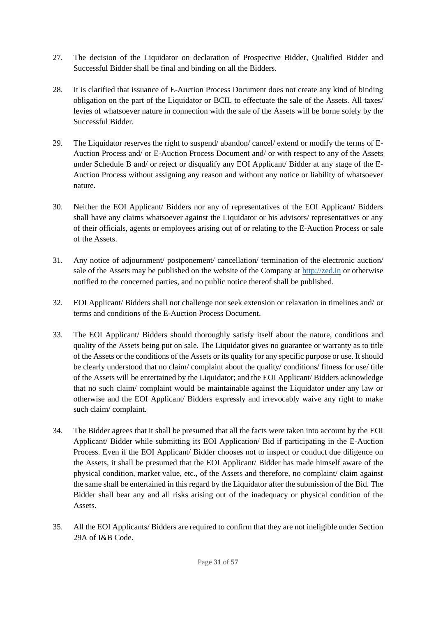- 27. The decision of the Liquidator on declaration of Prospective Bidder, Qualified Bidder and Successful Bidder shall be final and binding on all the Bidders.
- 28. It is clarified that issuance of E-Auction Process Document does not create any kind of binding obligation on the part of the Liquidator or BCIL to effectuate the sale of the Assets. All taxes/ levies of whatsoever nature in connection with the sale of the Assets will be borne solely by the Successful Bidder.
- 29. The Liquidator reserves the right to suspend/ abandon/ cancel/ extend or modify the terms of E-Auction Process and/ or E-Auction Process Document and/ or with respect to any of the Assets under Schedule B and/ or reject or disqualify any EOI Applicant/ Bidder at any stage of the E-Auction Process without assigning any reason and without any notice or liability of whatsoever nature.
- 30. Neither the EOI Applicant/ Bidders nor any of representatives of the EOI Applicant/ Bidders shall have any claims whatsoever against the Liquidator or his advisors/ representatives or any of their officials, agents or employees arising out of or relating to the E-Auction Process or sale of the Assets.
- 31. Any notice of adjournment/ postponement/ cancellation/ termination of the electronic auction/ sale of the Assets may be published on the website of the Company at http://zed.in or otherwise notified to the concerned parties, and no public notice thereof shall be published.
- 32. EOI Applicant/ Bidders shall not challenge nor seek extension or relaxation in timelines and/ or terms and conditions of the E-Auction Process Document.
- 33. The EOI Applicant/ Bidders should thoroughly satisfy itself about the nature, conditions and quality of the Assets being put on sale. The Liquidator gives no guarantee or warranty as to title of the Assets or the conditions of the Assets or its quality for any specific purpose or use. It should be clearly understood that no claim/ complaint about the quality/ conditions/ fitness for use/ title of the Assets will be entertained by the Liquidator; and the EOI Applicant/ Bidders acknowledge that no such claim/ complaint would be maintainable against the Liquidator under any law or otherwise and the EOI Applicant/ Bidders expressly and irrevocably waive any right to make such claim/ complaint.
- 34. The Bidder agrees that it shall be presumed that all the facts were taken into account by the EOI Applicant/ Bidder while submitting its EOI Application/ Bid if participating in the E-Auction Process. Even if the EOI Applicant/ Bidder chooses not to inspect or conduct due diligence on the Assets, it shall be presumed that the EOI Applicant/ Bidder has made himself aware of the physical condition, market value, etc., of the Assets and therefore, no complaint/ claim against the same shall be entertained in this regard by the Liquidator after the submission of the Bid. The Bidder shall bear any and all risks arising out of the inadequacy or physical condition of the Assets.
- 35. All the EOI Applicants/ Bidders are required to confirm that they are not ineligible under Section 29A of I&B Code.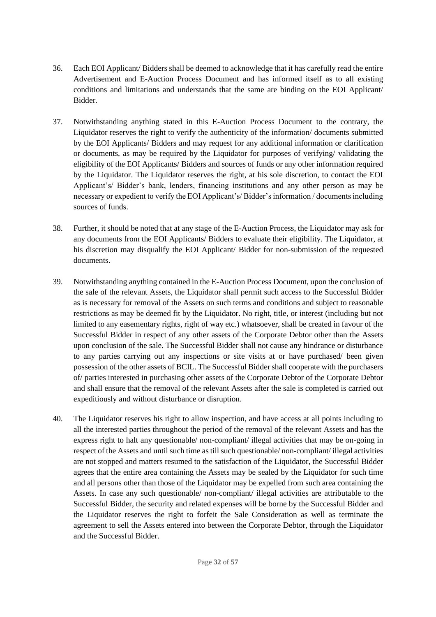- 36. Each EOI Applicant/ Bidders shall be deemed to acknowledge that it has carefully read the entire Advertisement and E-Auction Process Document and has informed itself as to all existing conditions and limitations and understands that the same are binding on the EOI Applicant/ Bidder.
- 37. Notwithstanding anything stated in this E-Auction Process Document to the contrary, the Liquidator reserves the right to verify the authenticity of the information/ documents submitted by the EOI Applicants/ Bidders and may request for any additional information or clarification or documents, as may be required by the Liquidator for purposes of verifying/ validating the eligibility of the EOI Applicants/ Bidders and sources of funds or any other information required by the Liquidator. The Liquidator reserves the right, at his sole discretion, to contact the EOI Applicant's/ Bidder's bank, lenders, financing institutions and any other person as may be necessary or expedient to verify the EOI Applicant's/ Bidder's information / documents including sources of funds.
- 38. Further, it should be noted that at any stage of the E-Auction Process, the Liquidator may ask for any documents from the EOI Applicants/ Bidders to evaluate their eligibility. The Liquidator, at his discretion may disqualify the EOI Applicant/ Bidder for non-submission of the requested documents.
- 39. Notwithstanding anything contained in the E-Auction Process Document, upon the conclusion of the sale of the relevant Assets, the Liquidator shall permit such access to the Successful Bidder as is necessary for removal of the Assets on such terms and conditions and subject to reasonable restrictions as may be deemed fit by the Liquidator. No right, title, or interest (including but not limited to any easementary rights, right of way etc.) whatsoever, shall be created in favour of the Successful Bidder in respect of any other assets of the Corporate Debtor other than the Assets upon conclusion of the sale. The Successful Bidder shall not cause any hindrance or disturbance to any parties carrying out any inspections or site visits at or have purchased/ been given possession of the other assets of BCIL. The Successful Bidder shall cooperate with the purchasers of/ parties interested in purchasing other assets of the Corporate Debtor of the Corporate Debtor and shall ensure that the removal of the relevant Assets after the sale is completed is carried out expeditiously and without disturbance or disruption.
- 40. The Liquidator reserves his right to allow inspection, and have access at all points including to all the interested parties throughout the period of the removal of the relevant Assets and has the express right to halt any questionable/ non-compliant/ illegal activities that may be on-going in respect of the Assets and until such time as till such questionable/ non-compliant/ illegal activities are not stopped and matters resumed to the satisfaction of the Liquidator, the Successful Bidder agrees that the entire area containing the Assets may be sealed by the Liquidator for such time and all persons other than those of the Liquidator may be expelled from such area containing the Assets. In case any such questionable/ non-compliant/ illegal activities are attributable to the Successful Bidder, the security and related expenses will be borne by the Successful Bidder and the Liquidator reserves the right to forfeit the Sale Consideration as well as terminate the agreement to sell the Assets entered into between the Corporate Debtor, through the Liquidator and the Successful Bidder.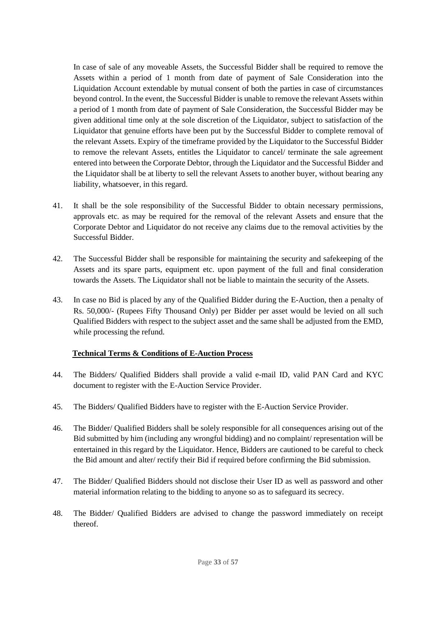In case of sale of any moveable Assets, the Successful Bidder shall be required to remove the Assets within a period of 1 month from date of payment of Sale Consideration into the Liquidation Account extendable by mutual consent of both the parties in case of circumstances beyond control. In the event, the Successful Bidder is unable to remove the relevant Assets within a period of 1 month from date of payment of Sale Consideration, the Successful Bidder may be given additional time only at the sole discretion of the Liquidator, subject to satisfaction of the Liquidator that genuine efforts have been put by the Successful Bidder to complete removal of the relevant Assets. Expiry of the timeframe provided by the Liquidator to the Successful Bidder to remove the relevant Assets, entitles the Liquidator to cancel/ terminate the sale agreement entered into between the Corporate Debtor, through the Liquidator and the Successful Bidder and the Liquidator shall be at liberty to sell the relevant Assets to another buyer, without bearing any liability, whatsoever, in this regard.

- 41. It shall be the sole responsibility of the Successful Bidder to obtain necessary permissions, approvals etc. as may be required for the removal of the relevant Assets and ensure that the Corporate Debtor and Liquidator do not receive any claims due to the removal activities by the Successful Bidder.
- 42. The Successful Bidder shall be responsible for maintaining the security and safekeeping of the Assets and its spare parts, equipment etc. upon payment of the full and final consideration towards the Assets. The Liquidator shall not be liable to maintain the security of the Assets.
- 43. In case no Bid is placed by any of the Qualified Bidder during the E-Auction, then a penalty of Rs. 50,000/- (Rupees Fifty Thousand Only) per Bidder per asset would be levied on all such Qualified Bidders with respect to the subject asset and the same shall be adjusted from the EMD, while processing the refund.

#### **Technical Terms & Conditions of E-Auction Process**

- 44. The Bidders/ Qualified Bidders shall provide a valid e-mail ID, valid PAN Card and KYC document to register with the E-Auction Service Provider.
- 45. The Bidders/ Qualified Bidders have to register with the E-Auction Service Provider.
- 46. The Bidder/ Qualified Bidders shall be solely responsible for all consequences arising out of the Bid submitted by him (including any wrongful bidding) and no complaint/ representation will be entertained in this regard by the Liquidator. Hence, Bidders are cautioned to be careful to check the Bid amount and alter/ rectify their Bid if required before confirming the Bid submission.
- 47. The Bidder/ Qualified Bidders should not disclose their User ID as well as password and other material information relating to the bidding to anyone so as to safeguard its secrecy.
- 48. The Bidder/ Qualified Bidders are advised to change the password immediately on receipt thereof.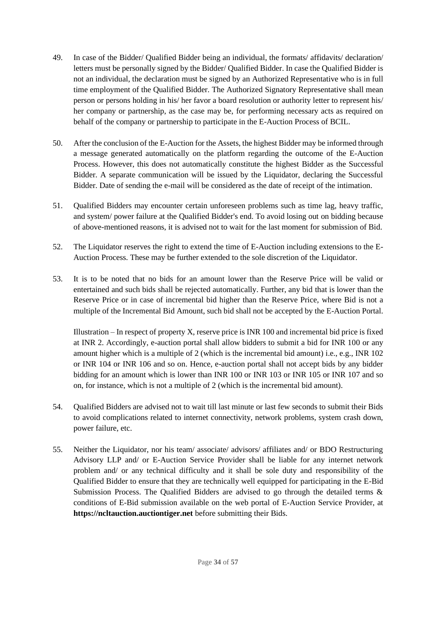- 49. In case of the Bidder/ Qualified Bidder being an individual, the formats/ affidavits/ declaration/ letters must be personally signed by the Bidder/ Qualified Bidder. In case the Qualified Bidder is not an individual, the declaration must be signed by an Authorized Representative who is in full time employment of the Qualified Bidder. The Authorized Signatory Representative shall mean person or persons holding in his/ her favor a board resolution or authority letter to represent his/ her company or partnership, as the case may be, for performing necessary acts as required on behalf of the company or partnership to participate in the E-Auction Process of BCIL.
- 50. After the conclusion of the E-Auction for the Assets, the highest Bidder may be informed through a message generated automatically on the platform regarding the outcome of the E-Auction Process. However, this does not automatically constitute the highest Bidder as the Successful Bidder. A separate communication will be issued by the Liquidator, declaring the Successful Bidder. Date of sending the e-mail will be considered as the date of receipt of the intimation.
- 51. Qualified Bidders may encounter certain unforeseen problems such as time lag, heavy traffic, and system/ power failure at the Qualified Bidder's end. To avoid losing out on bidding because of above-mentioned reasons, it is advised not to wait for the last moment for submission of Bid.
- 52. The Liquidator reserves the right to extend the time of E-Auction including extensions to the E-Auction Process. These may be further extended to the sole discretion of the Liquidator.
- 53. It is to be noted that no bids for an amount lower than the Reserve Price will be valid or entertained and such bids shall be rejected automatically. Further, any bid that is lower than the Reserve Price or in case of incremental bid higher than the Reserve Price, where Bid is not a multiple of the Incremental Bid Amount, such bid shall not be accepted by the E-Auction Portal.

Illustration – In respect of property X, reserve price is INR 100 and incremental bid price is fixed at INR 2. Accordingly, e-auction portal shall allow bidders to submit a bid for INR 100 or any amount higher which is a multiple of 2 (which is the incremental bid amount) i.e., e.g., INR 102 or INR 104 or INR 106 and so on. Hence, e-auction portal shall not accept bids by any bidder bidding for an amount which is lower than INR 100 or INR 103 or INR 105 or INR 107 and so on, for instance, which is not a multiple of 2 (which is the incremental bid amount).

- 54. Qualified Bidders are advised not to wait till last minute or last few seconds to submit their Bids to avoid complications related to internet connectivity, network problems, system crash down, power failure, etc.
- 55. Neither the Liquidator, nor his team/ associate/ advisors/ affiliates and/ or BDO Restructuring Advisory LLP and/ or E-Auction Service Provider shall be liable for any internet network problem and/ or any technical difficulty and it shall be sole duty and responsibility of the Qualified Bidder to ensure that they are technically well equipped for participating in the E-Bid Submission Process. The Qualified Bidders are advised to go through the detailed terms & conditions of E-Bid submission available on the web portal of E-Auction Service Provider, at **https://ncltauction.auctiontiger.net** before submitting their Bids.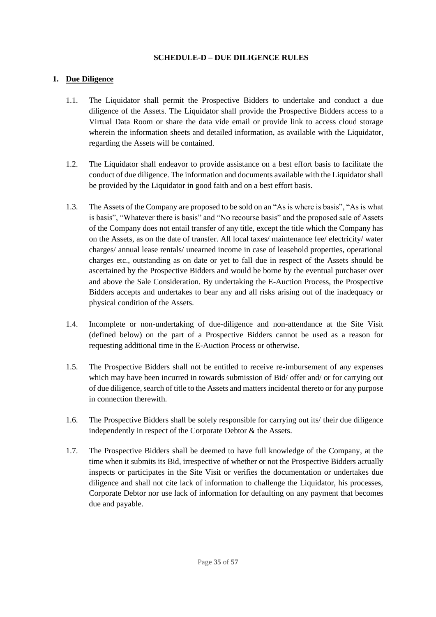#### **SCHEDULE-D – DUE DILIGENCE RULES**

#### <span id="page-34-0"></span>**1. Due Diligence**

- 1.1. The Liquidator shall permit the Prospective Bidders to undertake and conduct a due diligence of the Assets. The Liquidator shall provide the Prospective Bidders access to a Virtual Data Room or share the data vide email or provide link to access cloud storage wherein the information sheets and detailed information, as available with the Liquidator, regarding the Assets will be contained.
- 1.2. The Liquidator shall endeavor to provide assistance on a best effort basis to facilitate the conduct of due diligence. The information and documents available with the Liquidator shall be provided by the Liquidator in good faith and on a best effort basis.
- 1.3. The Assets of the Company are proposed to be sold on an "As is where is basis", "As is what is basis", "Whatever there is basis" and "No recourse basis" and the proposed sale of Assets of the Company does not entail transfer of any title, except the title which the Company has on the Assets, as on the date of transfer. All local taxes/ maintenance fee/ electricity/ water charges/ annual lease rentals/ unearned income in case of leasehold properties, operational charges etc., outstanding as on date or yet to fall due in respect of the Assets should be ascertained by the Prospective Bidders and would be borne by the eventual purchaser over and above the Sale Consideration. By undertaking the E-Auction Process, the Prospective Bidders accepts and undertakes to bear any and all risks arising out of the inadequacy or physical condition of the Assets.
- 1.4. Incomplete or non-undertaking of due-diligence and non-attendance at the Site Visit (defined below) on the part of a Prospective Bidders cannot be used as a reason for requesting additional time in the E-Auction Process or otherwise.
- 1.5. The Prospective Bidders shall not be entitled to receive re-imbursement of any expenses which may have been incurred in towards submission of Bid/ offer and/ or for carrying out of due diligence, search of title to the Assets and matters incidental thereto or for any purpose in connection therewith.
- 1.6. The Prospective Bidders shall be solely responsible for carrying out its/ their due diligence independently in respect of the Corporate Debtor & the Assets.
- 1.7. The Prospective Bidders shall be deemed to have full knowledge of the Company, at the time when it submits its Bid, irrespective of whether or not the Prospective Bidders actually inspects or participates in the Site Visit or verifies the documentation or undertakes due diligence and shall not cite lack of information to challenge the Liquidator, his processes, Corporate Debtor nor use lack of information for defaulting on any payment that becomes due and payable.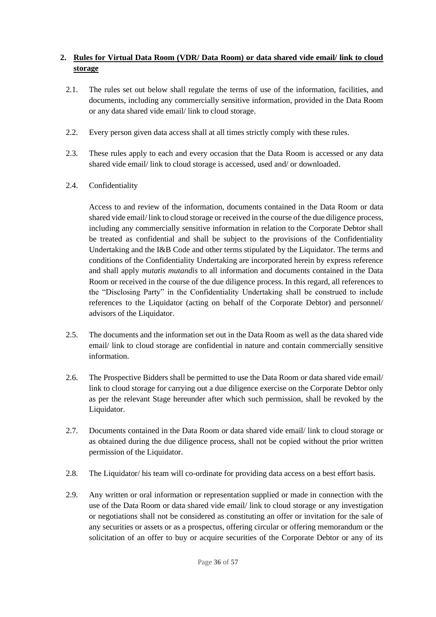## **2. Rules for Virtual Data Room (VDR/ Data Room) or data shared vide email/ link to cloud storage**

- 2.1. The rules set out below shall regulate the terms of use of the information, facilities, and documents, including any commercially sensitive information, provided in the Data Room or any data shared vide email/ link to cloud storage.
- 2.2. Every person given data access shall at all times strictly comply with these rules.
- 2.3. These rules apply to each and every occasion that the Data Room is accessed or any data shared vide email/ link to cloud storage is accessed, used and/ or downloaded.
- 2.4. Confidentiality

Access to and review of the information, documents contained in the Data Room or data shared vide email/ link to cloud storage or received in the course of the due diligence process, including any commercially sensitive information in relation to the Corporate Debtor shall be treated as confidential and shall be subject to the provisions of the Confidentiality Undertaking and the I&B Code and other terms stipulated by the Liquidator. The terms and conditions of the Confidentiality Undertaking are incorporated herein by express reference and shall apply *mutatis mutandis* to all information and documents contained in the Data Room or received in the course of the due diligence process. In this regard, all references to the "Disclosing Party" in the Confidentiality Undertaking shall be construed to include references to the Liquidator (acting on behalf of the Corporate Debtor) and personnel/ advisors of the Liquidator.

- 2.5. The documents and the information set out in the Data Room as well as the data shared vide email/ link to cloud storage are confidential in nature and contain commercially sensitive information.
- 2.6. The Prospective Bidders shall be permitted to use the Data Room or data shared vide email/ link to cloud storage for carrying out a due diligence exercise on the Corporate Debtor only as per the relevant Stage hereunder after which such permission, shall be revoked by the Liquidator.
- 2.7. Documents contained in the Data Room or data shared vide email/ link to cloud storage or as obtained during the due diligence process, shall not be copied without the prior written permission of the Liquidator.
- 2.8. The Liquidator/ his team will co-ordinate for providing data access on a best effort basis.
- 2.9. Any written or oral information or representation supplied or made in connection with the use of the Data Room or data shared vide email/ link to cloud storage or any investigation or negotiations shall not be considered as constituting an offer or invitation for the sale of any securities or assets or as a prospectus, offering circular or offering memorandum or the solicitation of an offer to buy or acquire securities of the Corporate Debtor or any of its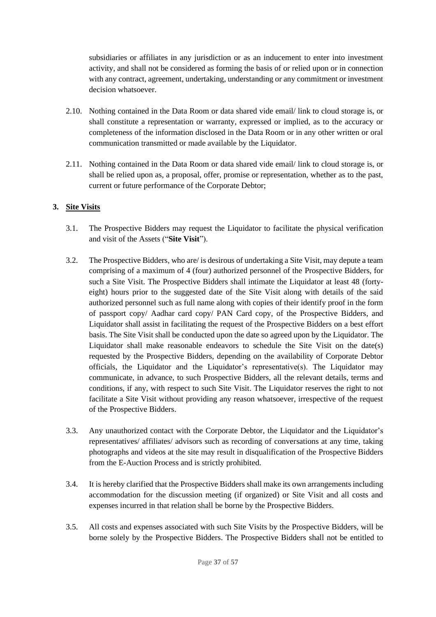subsidiaries or affiliates in any jurisdiction or as an inducement to enter into investment activity, and shall not be considered as forming the basis of or relied upon or in connection with any contract, agreement, undertaking, understanding or any commitment or investment decision whatsoever.

- 2.10. Nothing contained in the Data Room or data shared vide email/ link to cloud storage is, or shall constitute a representation or warranty, expressed or implied, as to the accuracy or completeness of the information disclosed in the Data Room or in any other written or oral communication transmitted or made available by the Liquidator.
- 2.11. Nothing contained in the Data Room or data shared vide email/ link to cloud storage is, or shall be relied upon as, a proposal, offer, promise or representation, whether as to the past, current or future performance of the Corporate Debtor;

## **3. Site Visits**

- 3.1. The Prospective Bidders may request the Liquidator to facilitate the physical verification and visit of the Assets ("**Site Visit**").
- 3.2. The Prospective Bidders, who are/ is desirous of undertaking a Site Visit, may depute a team comprising of a maximum of 4 (four) authorized personnel of the Prospective Bidders, for such a Site Visit. The Prospective Bidders shall intimate the Liquidator at least 48 (fortyeight) hours prior to the suggested date of the Site Visit along with details of the said authorized personnel such as full name along with copies of their identify proof in the form of passport copy/ Aadhar card copy/ PAN Card copy, of the Prospective Bidders, and Liquidator shall assist in facilitating the request of the Prospective Bidders on a best effort basis. The Site Visit shall be conducted upon the date so agreed upon by the Liquidator. The Liquidator shall make reasonable endeavors to schedule the Site Visit on the date(s) requested by the Prospective Bidders, depending on the availability of Corporate Debtor officials, the Liquidator and the Liquidator's representative(s). The Liquidator may communicate, in advance, to such Prospective Bidders, all the relevant details, terms and conditions, if any, with respect to such Site Visit. The Liquidator reserves the right to not facilitate a Site Visit without providing any reason whatsoever, irrespective of the request of the Prospective Bidders.
- 3.3. Any unauthorized contact with the Corporate Debtor, the Liquidator and the Liquidator's representatives/ affiliates/ advisors such as recording of conversations at any time, taking photographs and videos at the site may result in disqualification of the Prospective Bidders from the E-Auction Process and is strictly prohibited.
- 3.4. It is hereby clarified that the Prospective Bidders shall make its own arrangements including accommodation for the discussion meeting (if organized) or Site Visit and all costs and expenses incurred in that relation shall be borne by the Prospective Bidders.
- 3.5. All costs and expenses associated with such Site Visits by the Prospective Bidders, will be borne solely by the Prospective Bidders. The Prospective Bidders shall not be entitled to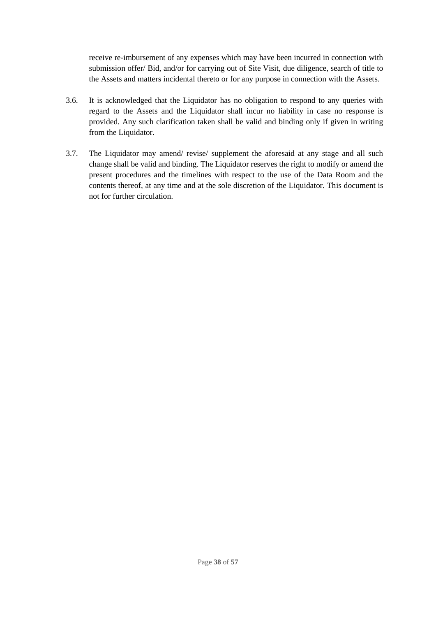receive re-imbursement of any expenses which may have been incurred in connection with submission offer/ Bid, and/or for carrying out of Site Visit, due diligence, search of title to the Assets and matters incidental thereto or for any purpose in connection with the Assets.

- 3.6. It is acknowledged that the Liquidator has no obligation to respond to any queries with regard to the Assets and the Liquidator shall incur no liability in case no response is provided. Any such clarification taken shall be valid and binding only if given in writing from the Liquidator.
- 3.7. The Liquidator may amend/ revise/ supplement the aforesaid at any stage and all such change shall be valid and binding. The Liquidator reserves the right to modify or amend the present procedures and the timelines with respect to the use of the Data Room and the contents thereof, at any time and at the sole discretion of the Liquidator. This document is not for further circulation.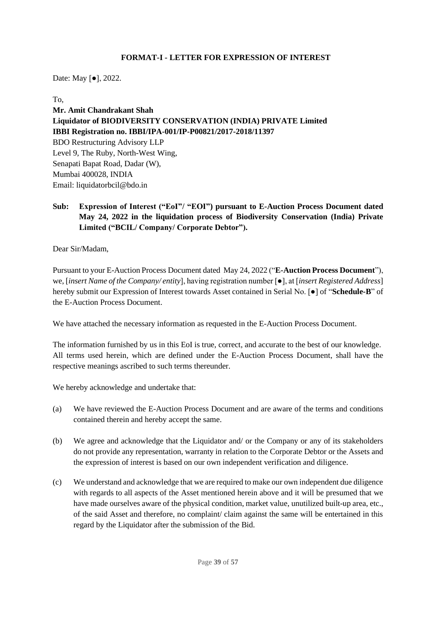#### **FORMAT-I - LETTER FOR EXPRESSION OF INTEREST**

<span id="page-38-0"></span>Date: May [●], 2022.

To,

**Mr. Amit Chandrakant Shah Liquidator of BIODIVERSITY CONSERVATION (INDIA) PRIVATE Limited IBBI Registration no. IBBI/IPA-001/IP-P00821/2017-2018/11397** BDO Restructuring Advisory LLP Level 9, The Ruby, North-West Wing, Senapati Bapat Road, Dadar (W), Mumbai 400028, INDIA Email: liquidatorbcil@bdo.in

**Sub: Expression of Interest ("EoI"/ "EOI") pursuant to E-Auction Process Document dated May 24, 2022 in the liquidation process of Biodiversity Conservation (India) Private Limited ("BCIL/ Company/ Corporate Debtor").**

Dear Sir/Madam,

Pursuant to your E-Auction Process Document dated May 24, 2022 ("**E-Auction Process Document**"), we, [*insert Name of the Company/ entity*], having registration number [●], at [*insert Registered Address*] hereby submit our Expression of Interest towards Asset contained in Serial No. [●] of "**Schedule-B**" of the E-Auction Process Document.

We have attached the necessary information as requested in the E-Auction Process Document.

The information furnished by us in this EoI is true, correct, and accurate to the best of our knowledge. All terms used herein, which are defined under the E-Auction Process Document, shall have the respective meanings ascribed to such terms thereunder.

We hereby acknowledge and undertake that:

- (a) We have reviewed the E-Auction Process Document and are aware of the terms and conditions contained therein and hereby accept the same.
- (b) We agree and acknowledge that the Liquidator and/ or the Company or any of its stakeholders do not provide any representation, warranty in relation to the Corporate Debtor or the Assets and the expression of interest is based on our own independent verification and diligence.
- (c) We understand and acknowledge that we are required to make our own independent due diligence with regards to all aspects of the Asset mentioned herein above and it will be presumed that we have made ourselves aware of the physical condition, market value, unutilized built-up area, etc., of the said Asset and therefore, no complaint/ claim against the same will be entertained in this regard by the Liquidator after the submission of the Bid.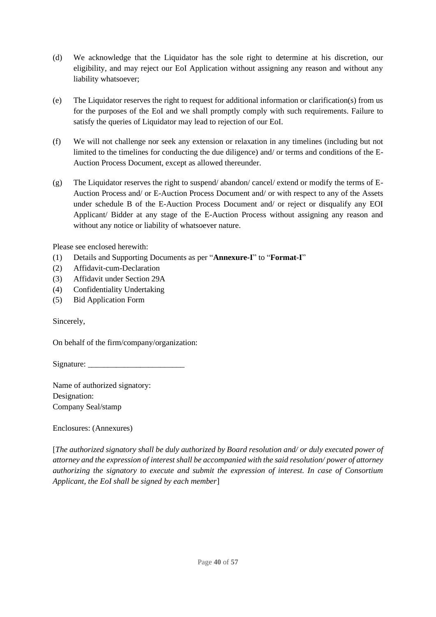- (d) We acknowledge that the Liquidator has the sole right to determine at his discretion, our eligibility, and may reject our EoI Application without assigning any reason and without any liability whatsoever;
- (e) The Liquidator reserves the right to request for additional information or clarification(s) from us for the purposes of the EoI and we shall promptly comply with such requirements. Failure to satisfy the queries of Liquidator may lead to rejection of our EoI.
- (f) We will not challenge nor seek any extension or relaxation in any timelines (including but not limited to the timelines for conducting the due diligence) and/ or terms and conditions of the E-Auction Process Document, except as allowed thereunder.
- (g) The Liquidator reserves the right to suspend/ abandon/ cancel/ extend or modify the terms of E-Auction Process and/ or E-Auction Process Document and/ or with respect to any of the Assets under schedule B of the E-Auction Process Document and/ or reject or disqualify any EOI Applicant/ Bidder at any stage of the E-Auction Process without assigning any reason and without any notice or liability of whatsoever nature.

Please see enclosed herewith:

- (1) Details and Supporting Documents as per "**Annexure-I**" to "**Format-I**"
- (2) Affidavit-cum-Declaration
- (3) Affidavit under Section 29A
- (4) Confidentiality Undertaking
- (5) Bid Application Form

Sincerely,

On behalf of the firm/company/organization:

Signature:

Name of authorized signatory: Designation: Company Seal/stamp

Enclosures: (Annexures)

[*The authorized signatory shall be duly authorized by Board resolution and/ or duly executed power of attorney and the expression of interest shall be accompanied with the said resolution/ power of attorney authorizing the signatory to execute and submit the expression of interest. In case of Consortium Applicant, the EoI shall be signed by each member*]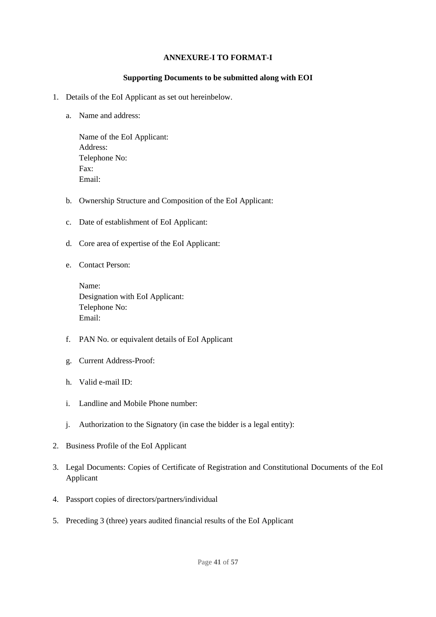#### **ANNEXURE-I TO FORMAT-I**

#### **Supporting Documents to be submitted along with EOI**

- 1. Details of the EoI Applicant as set out hereinbelow.
	- a. Name and address:

Name of the EoI Applicant: Address: Telephone No: Fax: Email:

- b. Ownership Structure and Composition of the EoI Applicant:
- c. Date of establishment of EoI Applicant:
- d. Core area of expertise of the EoI Applicant:
- e. Contact Person:

Name: Designation with EoI Applicant: Telephone No: Email:

- f. PAN No. or equivalent details of EoI Applicant
- g. Current Address-Proof:
- h. Valid e-mail ID:
- i. Landline and Mobile Phone number:
- j. Authorization to the Signatory (in case the bidder is a legal entity):
- 2. Business Profile of the EoI Applicant
- 3. Legal Documents: Copies of Certificate of Registration and Constitutional Documents of the EoI Applicant
- 4. Passport copies of directors/partners/individual
- 5. Preceding 3 (three) years audited financial results of the EoI Applicant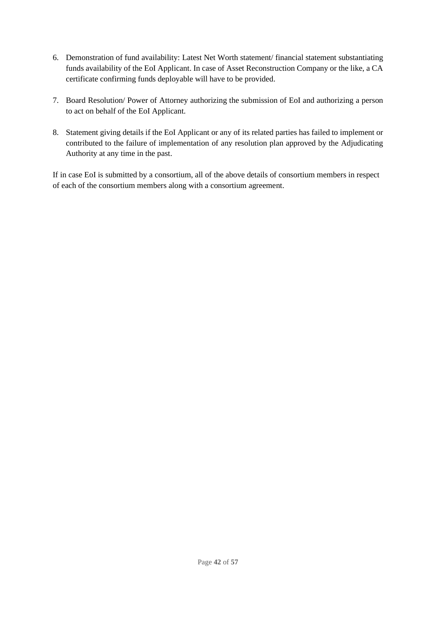- 6. Demonstration of fund availability: Latest Net Worth statement/ financial statement substantiating funds availability of the EoI Applicant. In case of Asset Reconstruction Company or the like, a CA certificate confirming funds deployable will have to be provided.
- 7. Board Resolution/ Power of Attorney authorizing the submission of EoI and authorizing a person to act on behalf of the EoI Applicant.
- 8. Statement giving details if the EoI Applicant or any of its related parties has failed to implement or contributed to the failure of implementation of any resolution plan approved by the Adjudicating Authority at any time in the past.

If in case EoI is submitted by a consortium, all of the above details of consortium members in respect of each of the consortium members along with a consortium agreement.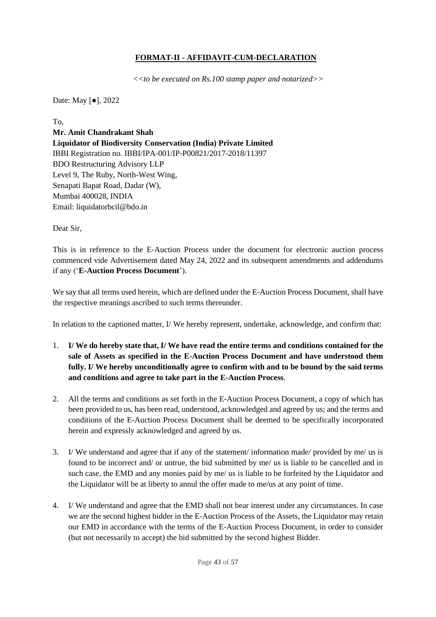## **FORMAT-II - AFFIDAVIT-CUM-DECLARATION**

 *<<to be executed on Rs.100 stamp paper and notarized>>*

<span id="page-42-0"></span>Date: May [●], 2022

To,

**Mr. Amit Chandrakant Shah Liquidator of Biodiversity Conservation (India) Private Limited**  IBBI Registration no. IBBI/IPA-001/IP-P00821/2017-2018/11397 BDO Restructuring Advisory LLP Level 9, The Ruby, North-West Wing, Senapati Bapat Road, Dadar (W), Mumbai 400028, INDIA Email: liquidatorbcil@bdo.in

Dear Sir,

This is in reference to the E-Auction Process under the document for electronic auction process commenced vide Advertisement dated May 24, 2022 and its subsequent amendments and addendums if any ('**E-Auction Process Document**').

We say that all terms used herein, which are defined under the E-Auction Process Document, shall have the respective meanings ascribed to such terms thereunder.

In relation to the captioned matter, I/We hereby represent, undertake, acknowledge, and confirm that:

- 1. **I/ We do hereby state that, I/ We have read the entire terms and conditions contained for the sale of Assets as specified in the E-Auction Process Document and have understood them fully. I/ We hereby unconditionally agree to confirm with and to be bound by the said terms and conditions and agree to take part in the E-Auction Process**.
- 2. All the terms and conditions as set forth in the E-Auction Process Document, a copy of which has been provided to us, has been read, understood, acknowledged and agreed by us; and the terms and conditions of the E-Auction Process Document shall be deemed to be specifically incorporated herein and expressly acknowledged and agreed by us.
- 3. I/ We understand and agree that if any of the statement/ information made/ provided by me/ us is found to be incorrect and/ or untrue, the bid submitted by me/ us is liable to be cancelled and in such case, the EMD and any monies paid by me/ us is liable to be forfeited by the Liquidator and the Liquidator will be at liberty to annul the offer made to me/us at any point of time.
- 4. I/ We understand and agree that the EMD shall not bear interest under any circumstances. In case we are the second highest bidder in the E-Auction Process of the Assets, the Liquidator may retain our EMD in accordance with the terms of the E-Auction Process Document, in order to consider (but not necessarily to accept) the bid submitted by the second highest Bidder.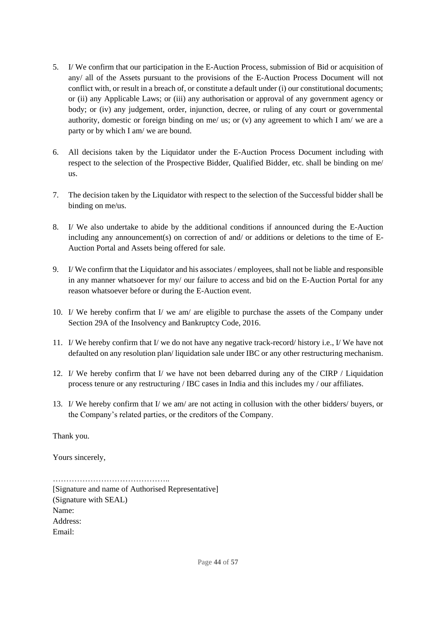- 5. I/ We confirm that our participation in the E-Auction Process, submission of Bid or acquisition of any/ all of the Assets pursuant to the provisions of the E-Auction Process Document will not conflict with, or result in a breach of, or constitute a default under (i) our constitutional documents; or (ii) any Applicable Laws; or (iii) any authorisation or approval of any government agency or body; or (iv) any judgement, order, injunction, decree, or ruling of any court or governmental authority, domestic or foreign binding on me/ us; or (v) any agreement to which I am/ we are a party or by which I am/ we are bound.
- 6. All decisions taken by the Liquidator under the E-Auction Process Document including with respect to the selection of the Prospective Bidder, Qualified Bidder, etc. shall be binding on me/ us.
- 7. The decision taken by the Liquidator with respect to the selection of the Successful bidder shall be binding on me/us.
- 8. I/ We also undertake to abide by the additional conditions if announced during the E-Auction including any announcement(s) on correction of and/ or additions or deletions to the time of E-Auction Portal and Assets being offered for sale.
- 9. I/ We confirm that the Liquidator and his associates / employees, shall not be liable and responsible in any manner whatsoever for my/ our failure to access and bid on the E-Auction Portal for any reason whatsoever before or during the E-Auction event.
- 10. I/ We hereby confirm that I/ we am/ are eligible to purchase the assets of the Company under Section 29A of the Insolvency and Bankruptcy Code, 2016.
- 11. I/ We hereby confirm that I/ we do not have any negative track-record/ history i.e., I/ We have not defaulted on any resolution plan/ liquidation sale under IBC or any other restructuring mechanism.
- 12. I/ We hereby confirm that I/ we have not been debarred during any of the CIRP / Liquidation process tenure or any restructuring / IBC cases in India and this includes my / our affiliates.
- 13. I/ We hereby confirm that I/ we am/ are not acting in collusion with the other bidders/ buyers, or the Company's related parties, or the creditors of the Company.

Thank you.

Yours sincerely,

…………………………………….. [Signature and name of Authorised Representative] (Signature with SEAL) Name: Address: Email: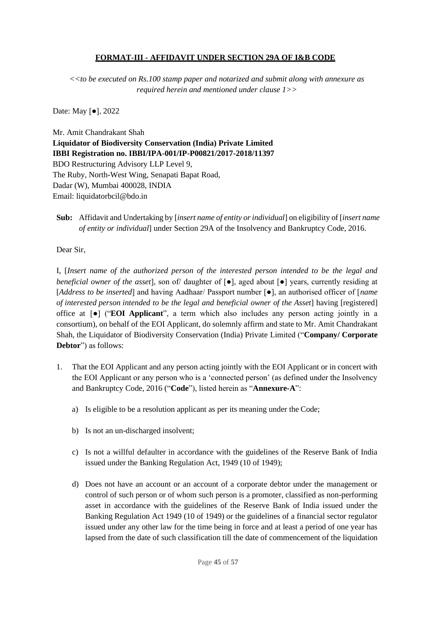### **FORMAT-III - AFFIDAVIT UNDER SECTION 29A OF I&B CODE**

<span id="page-44-0"></span>*<<to be executed on Rs.100 stamp paper and notarized and submit along with annexure as required herein and mentioned under clause 1>>*

Date: May [●], 2022

Mr. Amit Chandrakant Shah **Liquidator of Biodiversity Conservation (India) Private Limited IBBI Registration no. IBBI/IPA-001/IP-P00821/2017-2018/11397** BDO Restructuring Advisory LLP Level 9, The Ruby, North-West Wing, Senapati Bapat Road, Dadar (W), Mumbai 400028, INDIA Email: liquidatorbcil@bdo.in

**Sub:** Affidavit and Undertaking by [*insert name of entity or individual*] on eligibility of [*insert name of entity or individual*] under Section 29A of the Insolvency and Bankruptcy Code, 2016.

Dear Sir,

I, [*Insert name of the authorized person of the interested person intended to be the legal and beneficial owner of the asset*], son of daughter of [●], aged about [●] years, currently residing at [*Address to be inserted*] and having Aadhaar/ Passport number [●], an authorised officer of [*name of interested person intended to be the legal and beneficial owner of the Asset*] having [registered] office at [●] ("**EOI Applicant**", a term which also includes any person acting jointly in a consortium), on behalf of the EOI Applicant, do solemnly affirm and state to Mr. Amit Chandrakant Shah, the Liquidator of Biodiversity Conservation (India) Private Limited ("**Company/ Corporate Debtor**") as follows:

- 1. That the EOI Applicant and any person acting jointly with the EOI Applicant or in concert with the EOI Applicant or any person who is a 'connected person' (as defined under the Insolvency and Bankruptcy Code, 2016 ("**Code**"), listed herein as "**Annexure-A**":
	- a) Is eligible to be a resolution applicant as per its meaning under the Code;
	- b) Is not an un-discharged insolvent;
	- c) Is not a willful defaulter in accordance with the guidelines of the Reserve Bank of India issued under the Banking Regulation Act, 1949 (10 of 1949);
	- d) Does not have an account or an account of a corporate debtor under the management or control of such person or of whom such person is a promoter, classified as non-performing asset in accordance with the guidelines of the Reserve Bank of India issued under the Banking Regulation Act 1949 (10 of 1949) or the guidelines of a financial sector regulator issued under any other law for the time being in force and at least a period of one year has lapsed from the date of such classification till the date of commencement of the liquidation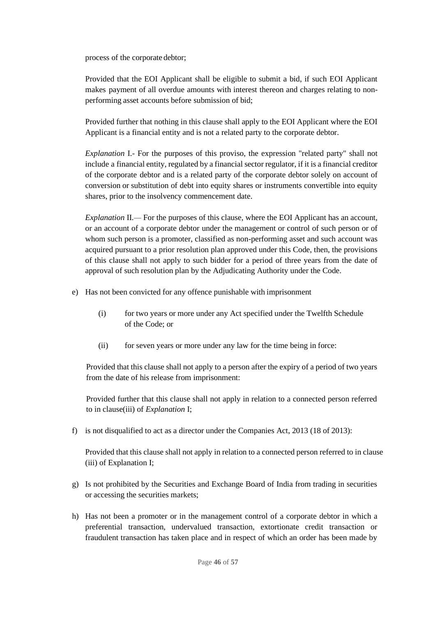process of the corporate debtor;

Provided that the EOI Applicant shall be eligible to submit a bid, if such EOI Applicant makes payment of all overdue amounts with interest thereon and charges relating to nonperforming asset accounts before submission of bid;

Provided further that nothing in this clause shall apply to the EOI Applicant where the EOI Applicant is a financial entity and is not a related party to the corporate debtor.

*Explanation* I.- For the purposes of this proviso, the expression "related party" shall not include a financial entity, regulated by a financial sector regulator, if it is a financial creditor of the corporate debtor and is a related party of the corporate debtor solely on account of conversion or substitution of debt into equity shares or instruments convertible into equity shares, prior to the insolvency commencement date.

*Explanation* II*.—* For the purposes of this clause, where the EOI Applicant has an account, or an account of a corporate debtor under the management or control of such person or of whom such person is a promoter, classified as non-performing asset and such account was acquired pursuant to a prior resolution plan approved under this Code, then, the provisions of this clause shall not apply to such bidder for a period of three years from the date of approval of such resolution plan by the Adjudicating Authority under the Code.

- e) Has not been convicted for any offence punishable with imprisonment
	- (i) for two years or more under any Act specified under the Twelfth Schedule of the Code; or
	- (ii) for seven years or more under any law for the time being in force:

Provided that this clause shall not apply to a person after the expiry of a period of two years from the date of his release from imprisonment:

Provided further that this clause shall not apply in relation to a connected person referred to in clause(iii) of *Explanation* I;

f) is not disqualified to act as a director under the Companies Act, 2013 (18 of 2013):

Provided that this clause shall not apply in relation to a connected person referred to in clause (iii) of Explanation I;

- g) Is not prohibited by the Securities and Exchange Board of India from trading in securities or accessing the securities markets;
- h) Has not been a promoter or in the management control of a corporate debtor in which a preferential transaction, undervalued transaction, extortionate credit transaction or fraudulent transaction has taken place and in respect of which an order has been made by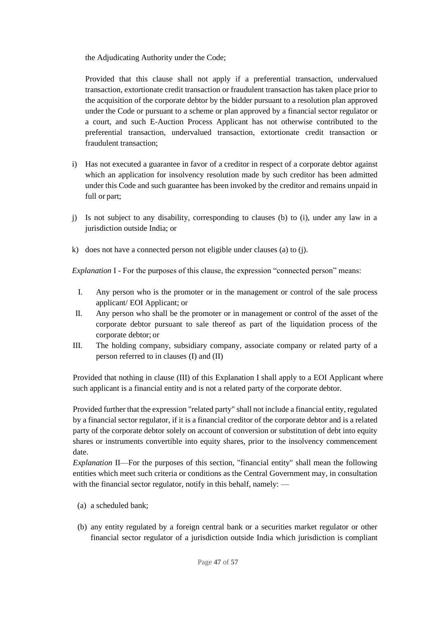the Adjudicating Authority under the Code;

Provided that this clause shall not apply if a preferential transaction, undervalued transaction, extortionate credit transaction or fraudulent transaction has taken place prior to the acquisition of the corporate debtor by the bidder pursuant to a resolution plan approved under the Code or pursuant to a scheme or plan approved by a financial sector regulator or a court, and such E-Auction Process Applicant has not otherwise contributed to the preferential transaction, undervalued transaction, extortionate credit transaction or fraudulent transaction;

- i) Has not executed a guarantee in favor of a creditor in respect of a corporate debtor against which an application for insolvency resolution made by such creditor has been admitted under this Code and such guarantee has been invoked by the creditor and remains unpaid in full or part;
- j) Is not subject to any disability, corresponding to clauses (b) to (i), under any law in a jurisdiction outside India; or
- k) does not have a connected person not eligible under clauses (a) to (j).

*Explanation* I - For the purposes of this clause, the expression "connected person" means:

- I. Any person who is the promoter or in the management or control of the sale process applicant/ EOI Applicant; or
- II. Any person who shall be the promoter or in management or control of the asset of the corporate debtor pursuant to sale thereof as part of the liquidation process of the corporate debtor; or
- III. The holding company, subsidiary company, associate company or related party of a person referred to in clauses (I) and (II)

Provided that nothing in clause (III) of this Explanation I shall apply to a EOI Applicant where such applicant is a financial entity and is not a related party of the corporate debtor.

Provided further that the expression "related party" shall not include a financial entity, regulated by a financial sector regulator, if it is a financial creditor of the corporate debtor and is a related party of the corporate debtor solely on account of conversion or substitution of debt into equity shares or instruments convertible into equity shares, prior to the insolvency commencement date.

*Explanation II—For the purposes of this section, "financial entity" shall mean the following* entities which meet such criteria or conditions as the Central Government may, in consultation with the financial sector regulator, notify in this behalf, namely: —

- (a) a scheduled bank;
- (b) any entity regulated by a foreign central bank or a securities market regulator or other financial sector regulator of a jurisdiction outside India which jurisdiction is compliant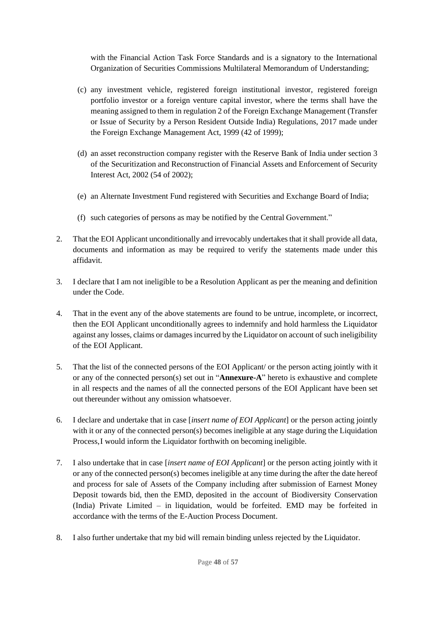with the Financial Action Task Force Standards and is a signatory to the International Organization of Securities Commissions Multilateral Memorandum of Understanding;

- (c) any investment vehicle, registered foreign institutional investor, registered foreign portfolio investor or a foreign venture capital investor, where the terms shall have the meaning assigned to them in regulation 2 of the Foreign Exchange Management (Transfer or Issue of Security by a Person Resident Outside India) Regulations, 2017 made under the Foreign Exchange Management Act, 1999 (42 of 1999);
- (d) an asset reconstruction company register with the Reserve Bank of India under section 3 of the Securitization and Reconstruction of Financial Assets and Enforcement of Security Interest Act, 2002 (54 of 2002);
- (e) an Alternate Investment Fund registered with Securities and Exchange Board of India;
- (f) such categories of persons as may be notified by the Central Government."
- 2. That the EOI Applicant unconditionally and irrevocably undertakes that it shall provide all data, documents and information as may be required to verify the statements made under this affidavit.
- 3. I declare that I am not ineligible to be a Resolution Applicant as per the meaning and definition under the Code.
- 4. That in the event any of the above statements are found to be untrue, incomplete, or incorrect, then the EOI Applicant unconditionally agrees to indemnify and hold harmless the Liquidator against any losses, claims or damages incurred by the Liquidator on account of such ineligibility of the EOI Applicant.
- 5. That the list of the connected persons of the EOI Applicant/ or the person acting jointly with it or any of the connected person(s) set out in "**Annexure-A**" hereto is exhaustive and complete in all respects and the names of all the connected persons of the EOI Applicant have been set out thereunder without any omission whatsoever.
- 6. I declare and undertake that in case [*insert name of EOI Applicant*] or the person acting jointly with it or any of the connected person(s) becomes ineligible at any stage during the Liquidation Process,I would inform the Liquidator forthwith on becoming ineligible.
- 7. I also undertake that in case [*insert name of EOI Applicant*] or the person acting jointly with it or any of the connected person(s) becomes ineligible at any time during the after the date hereof and process for sale of Assets of the Company including after submission of Earnest Money Deposit towards bid, then the EMD, deposited in the account of Biodiversity Conservation (India) Private Limited – in liquidation, would be forfeited. EMD may be forfeited in accordance with the terms of the E-Auction Process Document.
- 8. I also further undertake that my bid will remain binding unless rejected by the Liquidator.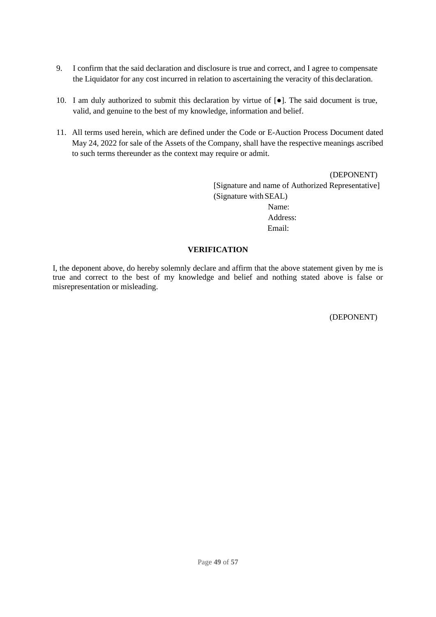- 9. I confirm that the said declaration and disclosure is true and correct, and I agree to compensate the Liquidator for any cost incurred in relation to ascertaining the veracity of this declaration.
- 10. I am duly authorized to submit this declaration by virtue of [●]. The said document is true, valid, and genuine to the best of my knowledge, information and belief.
- 11. All terms used herein, which are defined under the Code or E-Auction Process Document dated May 24, 2022 for sale of the Assets of the Company, shall have the respective meanings ascribed to such terms thereunder as the context may require or admit.

(DEPONENT) [Signature and name of Authorized Representative] (Signature withSEAL) Name: Address: Email:

#### **VERIFICATION**

I, the deponent above, do hereby solemnly declare and affirm that the above statement given by me is true and correct to the best of my knowledge and belief and nothing stated above is false or misrepresentation or misleading.

(DEPONENT)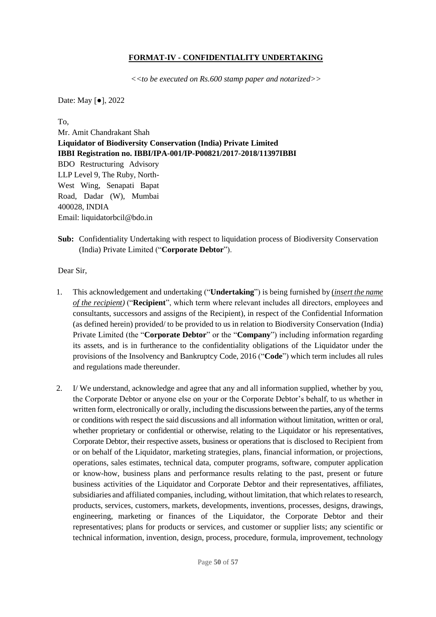### **FORMAT-IV - CONFIDENTIALITY UNDERTAKING**

 *<<to be executed on Rs.600 stamp paper and notarized>>*

<span id="page-49-0"></span>Date: May [●], 2022

To,

Mr. Amit Chandrakant Shah **Liquidator of Biodiversity Conservation (India) Private Limited IBBI Registration no. IBBI/IPA-001/IP-P00821/2017-2018/11397IBBI** BDO Restructuring Advisory LLP Level 9, The Ruby, North-West Wing, Senapati Bapat Road, Dadar (W), Mumbai 400028, INDIA Email: liquidatorbcil@bdo.in

**Sub:** Confidentiality Undertaking with respect to liquidation process of Biodiversity Conservation (India) Private Limited ("**Corporate Debtor**").

Dear Sir,

- 1. This acknowledgement and undertaking ("**Undertaking**") is being furnished by (*insert the name of the recipient)* ("**Recipient**", which term where relevant includes all directors, employees and consultants, successors and assigns of the Recipient), in respect of the Confidential Information (as defined herein) provided/ to be provided to us in relation to Biodiversity Conservation (India) Private Limited (the "**Corporate Debtor**" or the "**Company**") including information regarding its assets, and is in furtherance to the confidentiality obligations of the Liquidator under the provisions of the Insolvency and Bankruptcy Code, 2016 ("**Code**") which term includes all rules and regulations made thereunder.
- 2. I/ We understand, acknowledge and agree that any and all information supplied, whether by you, the Corporate Debtor or anyone else on your or the Corporate Debtor's behalf, to us whether in written form, electronically or orally, including the discussions between the parties, any of the terms or conditions with respect the said discussions and all information without limitation, written or oral, whether proprietary or confidential or otherwise, relating to the Liquidator or his representatives, Corporate Debtor, their respective assets, business or operations that is disclosed to Recipient from or on behalf of the Liquidator, marketing strategies, plans, financial information, or projections, operations, sales estimates, technical data, computer programs, software, computer application or know-how, business plans and performance results relating to the past, present or future business activities of the Liquidator and Corporate Debtor and their representatives, affiliates, subsidiaries and affiliated companies, including, without limitation, that which relates to research, products, services, customers, markets, developments, inventions, processes, designs, drawings, engineering, marketing or finances of the Liquidator, the Corporate Debtor and their representatives; plans for products or services, and customer or supplier lists; any scientific or technical information, invention, design, process, procedure, formula, improvement, technology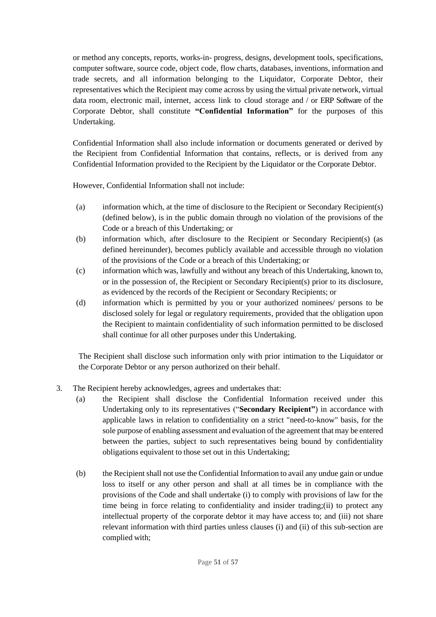or method any concepts, reports, works-in- progress, designs, development tools, specifications, computer software, source code, object code, flow charts, databases, inventions, information and trade secrets, and all information belonging to the Liquidator, Corporate Debtor, their representatives which the Recipient may come across by using the virtual private network, virtual data room, electronic mail, internet, access link to cloud storage and / or ERP Software of the Corporate Debtor, shall constitute **"Confidential Information"** for the purposes of this Undertaking.

Confidential Information shall also include information or documents generated or derived by the Recipient from Confidential Information that contains, reflects, or is derived from any Confidential Information provided to the Recipient by the Liquidator or the Corporate Debtor.

However, Confidential Information shall not include:

- (a) information which, at the time of disclosure to the Recipient or Secondary Recipient(s) (defined below), is in the public domain through no violation of the provisions of the Code or a breach of this Undertaking; or
- (b) information which, after disclosure to the Recipient or Secondary Recipient(s) (as defined hereinunder), becomes publicly available and accessible through no violation of the provisions of the Code or a breach of this Undertaking; or
- (c) information which was, lawfully and without any breach of this Undertaking, known to, or in the possession of, the Recipient or Secondary Recipient(s) prior to its disclosure, as evidenced by the records of the Recipient or Secondary Recipients; or
- (d) information which is permitted by you or your authorized nominees/ persons to be disclosed solely for legal or regulatory requirements, provided that the obligation upon the Recipient to maintain confidentiality of such information permitted to be disclosed shall continue for all other purposes under this Undertaking.

The Recipient shall disclose such information only with prior intimation to the Liquidator or the Corporate Debtor or any person authorized on their behalf.

- 3. The Recipient hereby acknowledges, agrees and undertakes that:
	- (a) the Recipient shall disclose the Confidential Information received under this Undertaking only to its representatives ("**Secondary Recipient"**) in accordance with applicable laws in relation to confidentiality on a strict "need-to-know" basis, for the sole purpose of enabling assessment and evaluation of the agreement that may be entered between the parties, subject to such representatives being bound by confidentiality obligations equivalent to those set out in this Undertaking;
	- (b) the Recipient shall not use the Confidential Information to avail any undue gain or undue loss to itself or any other person and shall at all times be in compliance with the provisions of the Code and shall undertake (i) to comply with provisions of law for the time being in force relating to confidentiality and insider trading;(ii) to protect any intellectual property of the corporate debtor it may have access to; and (iii) not share relevant information with third parties unless clauses (i) and (ii) of this sub-section are complied with;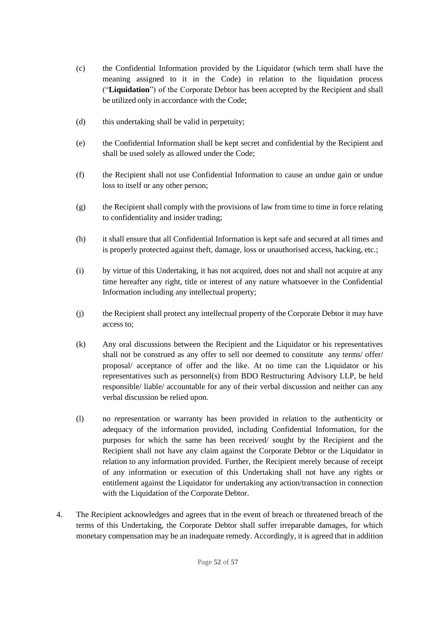- (c) the Confidential Information provided by the Liquidator (which term shall have the meaning assigned to it in the Code) in relation to the liquidation process ("**Liquidation**") of the Corporate Debtor has been accepted by the Recipient and shall be utilized only in accordance with the Code;
- (d) this undertaking shall be valid in perpetuity;
- (e) the Confidential Information shall be kept secret and confidential by the Recipient and shall be used solely as allowed under the Code;
- (f) the Recipient shall not use Confidential Information to cause an undue gain or undue loss to itself or any other person;
- (g) the Recipient shall comply with the provisions of law from time to time in force relating to confidentiality and insider trading;
- (h) it shall ensure that all Confidential Information is kept safe and secured at all times and is properly protected against theft, damage, loss or unauthorised access, hacking, etc.;
- (i) by virtue of this Undertaking, it has not acquired, does not and shall not acquire at any time hereafter any right, title or interest of any nature whatsoever in the Confidential Information including any intellectual property;
- (j) the Recipient shall protect any intellectual property of the Corporate Debtor it may have access to;
- (k) Any oral discussions between the Recipient and the Liquidator or his representatives shall not be construed as any offer to sell nor deemed to constitute any terms/ offer/ proposal/ acceptance of offer and the like. At no time can the Liquidator or his representatives such as personnel(s) from BDO Restructuring Advisory LLP, be held responsible/ liable/ accountable for any of their verbal discussion and neither can any verbal discussion be relied upon.
- (l) no representation or warranty has been provided in relation to the authenticity or adequacy of the information provided, including Confidential Information, for the purposes for which the same has been received/ sought by the Recipient and the Recipient shall not have any claim against the Corporate Debtor or the Liquidator in relation to any information provided. Further, the Recipient merely because of receipt of any information or execution of this Undertaking shall not have any rights or entitlement against the Liquidator for undertaking any action/transaction in connection with the Liquidation of the Corporate Debtor.
- 4. The Recipient acknowledges and agrees that in the event of breach or threatened breach of the terms of this Undertaking, the Corporate Debtor shall suffer irreparable damages, for which monetary compensation may be an inadequate remedy. Accordingly, it is agreed that in addition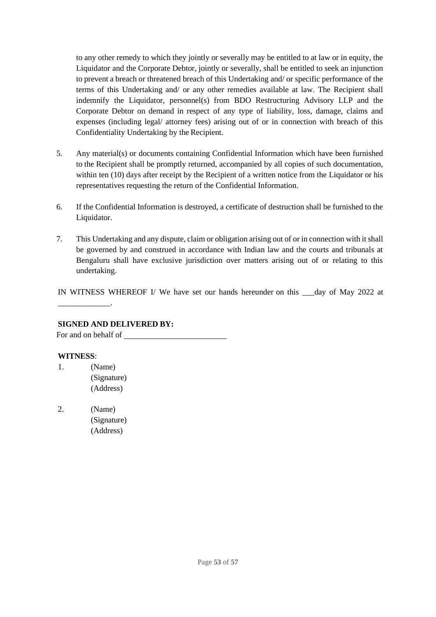to any other remedy to which they jointly or severally may be entitled to at law or in equity, the Liquidator and the Corporate Debtor, jointly or severally, shall be entitled to seek an injunction to prevent a breach or threatened breach of this Undertaking and/ or specific performance of the terms of this Undertaking and/ or any other remedies available at law. The Recipient shall indemnify the Liquidator, personnel(s) from BDO Restructuring Advisory LLP and the Corporate Debtor on demand in respect of any type of liability, loss, damage, claims and expenses (including legal/ attorney fees) arising out of or in connection with breach of this Confidentiality Undertaking by the Recipient.

- 5. Any material(s) or documents containing Confidential Information which have been furnished to the Recipient shall be promptly returned, accompanied by all copies of such documentation, within ten (10) days after receipt by the Recipient of a written notice from the Liquidator or his representatives requesting the return of the Confidential Information.
- 6. If the Confidential Information is destroyed, a certificate of destruction shall be furnished to the Liquidator.
- 7. This Undertaking and any dispute, claim or obligation arising out of or in connection with itshall be governed by and construed in accordance with Indian law and the courts and tribunals at Bengaluru shall have exclusive jurisdiction over matters arising out of or relating to this undertaking.

IN WITNESS WHEREOF I/ We have set our hands hereunder on this \_\_\_day of May 2022 at

#### **SIGNED AND DELIVERED BY:**

For and on behalf of

#### **WITNESS**:

\_\_\_\_\_\_\_\_\_\_\_\_\_.

- 1. (Name) (Signature) (Address)
- 2. (Name) (Signature) (Address)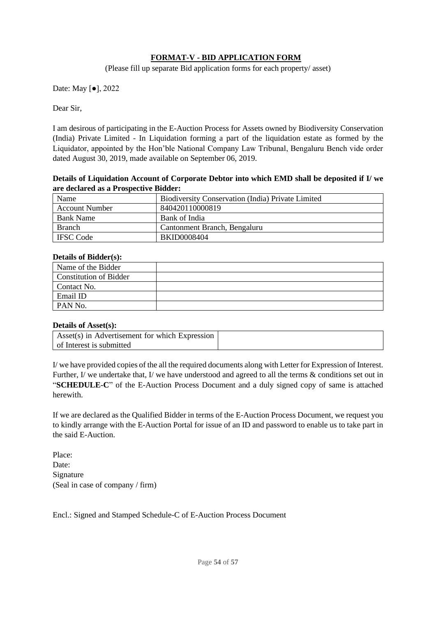### **FORMAT-V - BID APPLICATION FORM**

(Please fill up separate Bid application forms for each property/ asset)

<span id="page-53-0"></span>Date: May [●], 2022

Dear Sir,

I am desirous of participating in the E-Auction Process for Assets owned by Biodiversity Conservation (India) Private Limited - In Liquidation forming a part of the liquidation estate as formed by the Liquidator, appointed by the Hon'ble National Company Law Tribunal, Bengaluru Bench vide order dated August 30, 2019, made available on September 06, 2019.

#### **Details of Liquidation Account of Corporate Debtor into which EMD shall be deposited if I/ we are declared as a Prospective Bidder:**

| Name                  | <b>Biodiversity Conservation (India) Private Limited</b> |
|-----------------------|----------------------------------------------------------|
| <b>Account Number</b> | 840420110000819                                          |
| <b>Bank Name</b>      | Bank of India                                            |
| <b>Branch</b>         | Cantonment Branch, Bengaluru                             |
| <b>IFSC</b> Code      | <b>BKID0008404</b>                                       |

#### **Details of Bidder(s):**

| Name of the Bidder     |  |
|------------------------|--|
| Constitution of Bidder |  |
| Contact No.            |  |
| Email ID               |  |
| PAN No.                |  |

#### **Details of Asset(s):**

| Asset(s) in Advertisement for which Expression |  |
|------------------------------------------------|--|
| of Interest is submitted                       |  |

I/ we have provided copies of the all the required documents along with Letter for Expression of Interest. Further, I/ we undertake that, I/ we have understood and agreed to all the terms  $\&$  conditions set out in "**SCHEDULE-C**" of the E-Auction Process Document and a duly signed copy of same is attached herewith.

If we are declared as the Qualified Bidder in terms of the E-Auction Process Document, we request you to kindly arrange with the E-Auction Portal for issue of an ID and password to enable us to take part in the said E-Auction.

Place: Date: Signature (Seal in case of company / firm)

Encl.: Signed and Stamped Schedule-C of E-Auction Process Document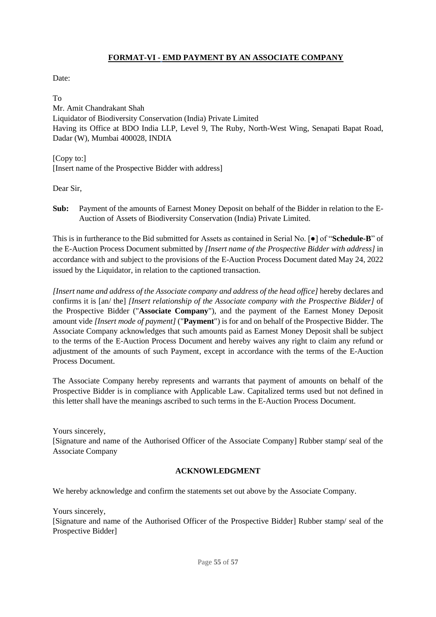## **FORMAT-VI - EMD PAYMENT BY AN ASSOCIATE COMPANY**

<span id="page-54-0"></span>Date:

To Mr. Amit Chandrakant Shah Liquidator of Biodiversity Conservation (India) Private Limited Having its Office at BDO India LLP, Level 9, The Ruby, North-West Wing, Senapati Bapat Road, Dadar (W), Mumbai 400028, INDIA

[Copy to:] [Insert name of the Prospective Bidder with address]

Dear Sir,

**Sub:** Payment of the amounts of Earnest Money Deposit on behalf of the Bidder in relation to the E-Auction of Assets of Biodiversity Conservation (India) Private Limited.

This is in furtherance to the Bid submitted for Assets as contained in Serial No. [●] of "**Schedule-B**" of the E-Auction Process Document submitted by *[Insert name of the Prospective Bidder with address]* in accordance with and subject to the provisions of the E-Auction Process Document dated May 24, 2022 issued by the Liquidator, in relation to the captioned transaction.

*[Insert name and address of the Associate company and address of the head office]* hereby declares and confirms it is [an/ the] *[Insert relationship of the Associate company with the Prospective Bidder]* of the Prospective Bidder ("**Associate Company**"), and the payment of the Earnest Money Deposit amount vide *[Insert mode of payment]* ("**Payment**") is for and on behalf of the Prospective Bidder. The Associate Company acknowledges that such amounts paid as Earnest Money Deposit shall be subject to the terms of the E-Auction Process Document and hereby waives any right to claim any refund or adjustment of the amounts of such Payment, except in accordance with the terms of the E-Auction Process Document.

The Associate Company hereby represents and warrants that payment of amounts on behalf of the Prospective Bidder is in compliance with Applicable Law. Capitalized terms used but not defined in this letter shall have the meanings ascribed to such terms in the E-Auction Process Document.

Yours sincerely,

[Signature and name of the Authorised Officer of the Associate Company] Rubber stamp/ seal of the Associate Company

## **ACKNOWLEDGMENT**

We hereby acknowledge and confirm the statements set out above by the Associate Company.

Yours sincerely,

[Signature and name of the Authorised Officer of the Prospective Bidder] Rubber stamp/ seal of the Prospective Bidder]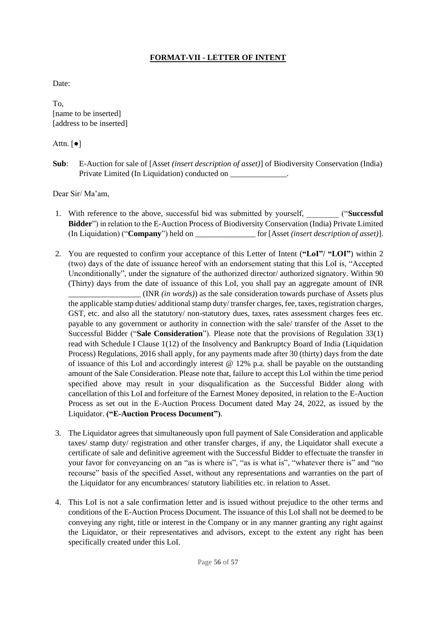## **FORMAT-VII - LETTER OF INTENT**

<span id="page-55-0"></span>Date:

To, [name to be inserted] [address to be inserted]

#### Attn.  $\lceil \bullet \rceil$

**Sub**: E-Auction for sale of [Asset *(insert description of asset)*] of Biodiversity Conservation (India) Private Limited (In Liquidation) conducted on \_\_\_\_\_\_\_\_\_\_\_\_\_\_.

Dear Sir/ Ma'am,

- 1. With reference to the above, successful bid was submitted by yourself, \_\_\_\_\_\_\_\_ ("**Successful Bidder**") in relation to the E-Auction Process of Biodiversity Conservation (India) Private Limited (In Liquidation) ("**Company**") held on \_\_\_\_\_\_\_\_\_\_\_\_\_\_\_ for [Asset *(insert description of asset)*].
- 2. You are requested to confirm your acceptance of this Letter of Intent (**"LoI"/ "LOI"**) within 2 (two) days of the date of issuance hereof with an endorsement stating that this LoI is, "Accepted Unconditionally", under the signature of the authorized director/ authorized signatory. Within 90 (Thirty) days from the date of issuance of this LoI, you shall pay an aggregate amount of INR

\_\_\_\_\_\_\_\_\_\_\_\_\_\_\_\_\_\_ (INR *(in words)*) as the sale consideration towards purchase of Assets plus the applicable stamp duties/ additional stamp duty/ transfer charges, fee, taxes, registration charges, GST, etc. and also all the statutory/ non-statutory dues, taxes, rates assessment charges fees etc. payable to any government or authority in connection with the sale/ transfer of the Asset to the Successful Bidder ("**Sale Consideration**"). Please note that the provisions of Regulation 33(1) read with Schedule I Clause 1(12) of the Insolvency and Bankruptcy Board of India (Liquidation Process) Regulations, 2016 shall apply, for any payments made after 30 (thirty) days from the date of issuance of this LoI and accordingly interest  $\omega$  12% p.a. shall be payable on the outstanding amount of the Sale Consideration. Please note that, failure to accept this LoI within the time period specified above may result in your disqualification as the Successful Bidder along with cancellation of this LoI and forfeiture of the Earnest Money deposited, in relation to the E-Auction Process as set out in the E-Auction Process Document dated May 24, 2022, as issued by the Liquidator. **("E-Auction Process Document")**.

- 3. The Liquidator agrees that simultaneously upon full payment of Sale Consideration and applicable taxes/ stamp duty/ registration and other transfer charges, if any, the Liquidator shall execute a certificate of sale and definitive agreement with the Successful Bidder to effectuate the transfer in your favor for conveyancing on an "as is where is", "as is what is", "whatever there is" and "no recourse" basis of the specified Asset, without any representations and warranties on the part of the Liquidator for any encumbrances/ statutory liabilities etc. in relation to Asset.
- 4. This LoI is not a sale confirmation letter and is issued without prejudice to the other terms and conditions of the E-Auction Process Document. The issuance of this LoI shall not be deemed to be conveying any right, title or interest in the Company or in any manner granting any right against the Liquidator, or their representatives and advisors, except to the extent any right has been specifically created under this LoI.